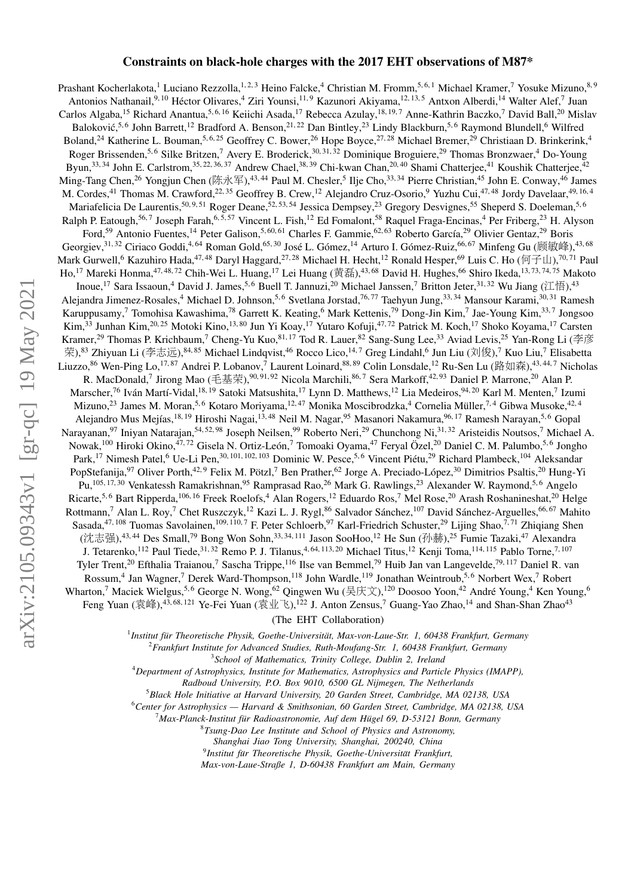# Constraints on black-hole charges with the 2017 EHT observations of M87\*

Prashant Kocherlakota,<sup>1</sup> Luciano Rezzolla,<sup>1, 2, 3</sup> Heino Falcke,<sup>4</sup> Christian M. Fromm,<sup>5, 6, 1</sup> Michael Kramer,<sup>7</sup> Yosuke Mizuno,<sup>8, 9</sup> Antonios Nathanail,<sup>9, 10</sup> Héctor Olivares,<sup>4</sup> Ziri Younsi,<sup>11,9</sup> Kazunori Akiyama,<sup>12, 13,5</sup> Antxon Alberdi,<sup>14</sup> Walter Alef,<sup>7</sup> Juan Carlos Algaba,<sup>15</sup> Richard Anantua,<sup>5, 6, 16</sup> Keiichi Asada,<sup>17</sup> Rebecca Azulay,<sup>18, 19,7</sup> Anne-Kathrin Baczko,<sup>7</sup> David Ball,<sup>20</sup> Mislav Baloković,<sup>5,6</sup> John Barrett,<sup>12</sup> Bradford A. Benson,<sup>21,22</sup> Dan Bintley,<sup>23</sup> Lindy Blackburn,<sup>5,6</sup> Raymond Blundell,<sup>6</sup> Wilfred Boland,<sup>24</sup> Katherine L. Bouman,<sup>5,6,25</sup> Geoffrey C. Bower,<sup>26</sup> Hope Boyce,<sup>27,28</sup> Michael Bremer,<sup>29</sup> Christiaan D. Brinkerink,<sup>4</sup> Roger Brissenden,<sup>5,6</sup> Silke Britzen,<sup>7</sup> Avery E. Broderick,<sup>30,31,32</sup> Dominique Broguiere,<sup>29</sup> Thomas Bronzwaer,<sup>4</sup> Do-Young Byun,<sup>33, 34</sup> John E. Carlstrom,<sup>35, 22, 36, 37</sup> Andrew Chael,<sup>38, 39</sup> Chi-kwan Chan,<sup>20, 40</sup> Shami Chatterjee,<sup>41</sup> Koushik Chatterjee,<sup>42</sup> Ming-Tang Chen,<sup>26</sup> Yongjun Chen (陈永军),<sup>43,44</sup> Paul M. Chesler,<sup>5</sup> Ilje Cho,<sup>33,34</sup> Pierre Christian,<sup>45</sup> John E. Conway,<sup>46</sup> James M. Cordes,<sup>41</sup> Thomas M. Crawford,<sup>22, 35</sup> Geoffrey B. Crew,<sup>12</sup> Alejandro Cruz-Osorio,<sup>9</sup> Yuzhu Cui,<sup>47, 48</sup> Jordy Davelaar,<sup>49, 16, 4</sup> Mariafelicia De Laurentis,<sup>50, 9, 51</sup> Roger Deane,<sup>52, 53, 54</sup> Jessica Dempsey,<sup>23</sup> Gregory Desvignes,<sup>55</sup> Sheperd S. Doeleman,<sup>5, 6</sup> Ralph P. Eatough,<sup>56,7</sup> Joseph Farah,<sup>6, 5, 57</sup> Vincent L. Fish,<sup>12</sup> Ed Fomalont,<sup>58</sup> Raquel Fraga-Encinas,<sup>4</sup> Per Friberg,<sup>23</sup> H. Alyson Ford,<sup>59</sup> Antonio Fuentes,<sup>14</sup> Peter Galison,<sup>5, 60, 61</sup> Charles F. Gammie,<sup>62, 63</sup> Roberto García,<sup>29</sup> Olivier Gentaz,<sup>29</sup> Boris Georgiev,<sup>31,32</sup> Ciriaco Goddi,<sup>4,64</sup> Roman Gold,<sup>65,30</sup> José L. Gómez,<sup>14</sup> Arturo I. Gómez-Ruiz,<sup>66,67</sup> Minfeng Gu (顾敏峰),<sup>43,68</sup><br>Aark Gurwell <sup>6</sup> Kazubiro Hada <sup>47,48</sup> Daryl Haggard <sup>27,28</sup> Michael H. Hecht <sup>12</sup> Ronald H Mark Gurwell,<sup>6</sup> Kazuhiro Hada,<sup>47,48</sup> Daryl Haggard,<sup>27,28</sup> Michael H. Hecht,<sup>12</sup> Ronald Hesper,<sup>69</sup> Luis C. Ho (何子山),<sup>70,71</sup> Paul Ho,<sup>17</sup> Mareki Honma,<sup>47,48,72</sup> Chih-Wei L. Huang,<sup>17</sup> Lei Huang (黄磊),<sup>43,68</sup> David H. H Inoue,<sup>17</sup> Sara Issaoun,<sup>4</sup> David J. James,<sup>5, 6</sup> Buell T. Jannuzi,<sup>20</sup> Michael Janssen,<sup>7</sup> Britton Jeter,<sup>31, 32</sup> Wu Jiang (江悟),<sup>43</sup> Alejandra Jimenez-Rosales,<sup>4</sup> Michael D. Johnson,<sup>5,6</sup> Svetlana Jorstad,<sup>76,77</sup> Taehyun Jung,<sup>33, 34</sup> Mansour Karami,<sup>30, 31</sup> Ramesh Karuppusamy,<sup>7</sup> Tomohisa Kawashima,<sup>78</sup> Garrett K. Keating,<sup>6</sup> Mark Kettenis,<sup>79</sup> Dong-Jin Kim,<sup>7</sup> Jae-Young Kim,<sup>33,7</sup> Jongsoo Kim,<sup>33</sup> Junhan Kim,<sup>20,25</sup> Motoki Kino,<sup>13,80</sup> Jun Yi Koay,<sup>17</sup> Yutaro Kofuji,<sup>47,72</sup> Patrick M. Koch,<sup>17</sup> Shoko Koyama,<sup>17</sup> Carsten Kramer,<sup>29</sup> Thomas P. Krichbaum,<sup>7</sup> Cheng-Yu Kuo,<sup>81,17</sup> Tod R. Lauer,<sup>82</sup> Sang-Sung Lee,<sup>33</sup> Aviad Levis,<sup>25</sup> Yan-Rong Li (李彦 الجزء ) 83 Zhiyuan Li (李吉 ) 84,85 Michael Lindovist 46 Rocco Lice 14,7 Greg Lindahl <sup>6</sup> Jun L 荣),<sup>83</sup> Zhiyuan Li (李志远),<sup>84, 85</sup> Michael Lindqvist,<sup>46</sup> Rocco Lico,<sup>14,7</sup> Greg Lindahl,<sup>6</sup> Jun Liu (刘俊),<sup>7</sup> Kuo Liu,<sup>7</sup> Elisabetta<br>iuzzo <sup>86</sup> Wen Ping Lo <sup>17, 87</sup> Andrei P. Lobanov <sup>7</sup> Laurent Loinard <sup>88, 89</sup> Colin Lons Liuzzo,  $86$  Wen-Ping Lo,  $^{17,87}$  Andrei P. Lobanov, Laurent Loinard,  $^{88,89}$  Colin Lonsdale,  $^{12}$  Ru-Sen Lu (路如森),  $^{43,44,7}$  Nicholas R. MacDonald,<sup>7</sup> Jirong Mao (毛基荣),<sup>90,91,92</sup> Nicola Marchili,<sup>86,7</sup> Sera Markoff,<sup>42,93</sup> Daniel P. Marrone,<sup>20</sup> Alan P.<br>rscher <sup>76</sup> Jyán Martí Vidal <sup>18,19</sup> Satoki Matsushita <sup>17</sup> Jyan D. Matthews <sup>12</sup> J.ia Medeiros <sup>94,2</sup> Marscher,<sup>76</sup> Iván Martí-Vidal,<sup>18, 19</sup> Satoki Matsushita,<sup>17</sup> Lynn D. Matthews,<sup>12</sup> Lia Medeiros,<sup>94, 20</sup> Karl M. Menten,<sup>7</sup> Izumi Mizuno,<sup>23</sup> James M. Moran,<sup>5,6</sup> Kotaro Moriyama,<sup>12,47</sup> Monika Moscibrodzka,<sup>4</sup> Cornelia Müller,<sup>7,4</sup> Gibwa Musoke,<sup>42,4</sup> Alejandro Mus Mejías,<sup>18, 19</sup> Hiroshi Nagai,<sup>13, 48</sup> Neil M. Nagar,<sup>95</sup> Masanori Nakamura,<sup>96, 17</sup> Ramesh Narayan,<sup>5,6</sup> Gopal Narayanan, <sup>97</sup> Iniyan Natarajan, <sup>54, 52, 98</sup> Joseph Neilsen, <sup>99</sup> Roberto Neri, <sup>29</sup> Chunchong Ni, <sup>31, 32</sup> Aristeidis Noutsos, <sup>7</sup> Michael A. Nowak,<sup>100</sup> Hiroki Okino,<sup>47,72</sup> Gisela N. Ortiz-León,<sup>7</sup> Tomoaki Oyama,<sup>47</sup> Feryal Özel,<sup>20</sup> Daniel C. M. Palumbo,<sup>5,6</sup> Jongho Park,<sup>17</sup> Nimesh Patel,<sup>6</sup> Ue-Li Pen,<sup>30, 101, 102, 103</sup> Dominic W. Pesce,<sup>5,6</sup> Vincent Piétu,<sup>29</sup> Richard Plambeck,<sup>104</sup> Aleksandar PopStefanija,<sup>97</sup> Oliver Porth,<sup>42,9</sup> Felix M. Pötzl,<sup>7</sup> Ben Prather,<sup>62</sup> Jorge A. Preciado-López,<sup>30</sup> Dimitrios Psaltis,<sup>20</sup> Hung-Yi Pu,<sup>105, 17, 30</sup> Venkatessh Ramakrishnan, <sup>95</sup> Ramprasad Rao, <sup>26</sup> Mark G. Rawlings, <sup>23</sup> Alexander W. Raymond, <sup>5, 6</sup> Angelo Ricarte,<sup>5, 6</sup> Bart Ripperda,<sup>106, 16</sup> Freek Roelofs,<sup>4</sup> Alan Rogers,<sup>12</sup> Eduardo Ros,<sup>7</sup> Mel Rose,<sup>20</sup> Arash Roshanineshat,<sup>20</sup> Helge Rottmann,<sup>7</sup> Alan L. Roy,<sup>7</sup> Chet Ruszczyk,<sup>12</sup> Kazi L. J. Rygl,<sup>86</sup> Salvador Sánchez,<sup>107</sup> David Sánchez-Arguelles,<sup>66,67</sup> Mahito Sasada,<sup>47, 108</sup> Tuomas Savolainen,<sup>109, 110,7</sup> F. Peter Schloerb,<sup>97</sup> Karl-Friedrich Schuster,<sup>29</sup> Lijing Shao,<sup>7,71</sup> Zhiqiang Shen (沈志强),<sup>43,44</sup> Des Small,<sup>79</sup> Bong Won Sohn,<sup>33, 34, 111</sup> Jason SooHoo,<sup>12</sup> He Sun (孙赫),<sup>25</sup> Fumie Tazaki,<sup>47</sup> Alexandra J. Tetarenko,<sup>112</sup> Paul Tiede,<sup>31,32</sup> Remo P. J. Tilanus,<sup>4, 64, 113, 20</sup> Michael Titus,<sup>12</sup> Kenji Toma,<sup>114, 115</sup> Pablo Torne,<sup>7, 107</sup> Tyler Trent,<sup>20</sup> Efthalia Traianou,<sup>7</sup> Sascha Trippe,<sup>116</sup> Ilse van Bemmel,<sup>79</sup> Huib Jan van Langevelde,79, 117 Daniel R. van Rossum,<sup>4</sup> Jan Wagner,<sup>7</sup> Derek Ward-Thompson,<sup>118</sup> John Wardle,<sup>119</sup> Jonathan Weintroub,<sup>5,6</sup> Norbert Wex,<sup>7</sup> Robert Wharton,<sup>7</sup> Maciek Wielgus,<sup>5,6</sup> George N. Wong,<sup>62</sup> Qingwen Wu (吴庆文),<sup>120</sup> Doosoo Yoon,<sup>42</sup> André Young,<sup>4</sup> Ken Young,<sup>6</sup> Feng Yuan (袁峰),<sup>43, 68, 121</sup> Ye-Fei Yuan (袁业飞),<sup>122</sup> J. Anton Zensus,<sup>7</sup> Guang-Yao Zhao,<sup>14</sup> and Shan-Shan Zhao<sup>43</sup>

# (The EHT Collaboration)

<sup>1</sup> Institut für Theoretische Physik, Goethe-Universität, Max-von-Laue-Str. 1, 60438 Frankfurt, Germany

<sup>2</sup>*Frankfurt Institute for Advanced Studies, Ruth-Moufang-Str. 1, 60438 Frankfurt, Germany*

3 *School of Mathematics, Trinity College, Dublin 2, Ireland*

<sup>4</sup>*Department of Astrophysics, Institute for Mathematics, Astrophysics and Particle Physics (IMAPP),*

*Radboud University, P.O. Box 9010, 6500 GL Nijmegen, The Netherlands*

<sup>5</sup>*Black Hole Initiative at Harvard University, 20 Garden Street, Cambridge, MA 02138, USA*

<sup>6</sup>*Center for Astrophysics — Harvard & Smithsonian, 60 Garden Street, Cambridge, MA 02138, USA*

<sup>7</sup>*Max-Planck-Institut fur Radioastronomie, Auf dem H ¨ ugel 69, D-53121 Bonn, Germany ¨*

8 *Tsung-Dao Lee Institute and School of Physics and Astronomy,*

*Shanghai Jiao Tong University, Shanghai, 200240, China*

<sup>9</sup> Institut für Theoretische Physik, Goethe-Universität Frankfurt,

*Max-von-Laue-Straße 1, D-60438 Frankfurt am Main, Germany*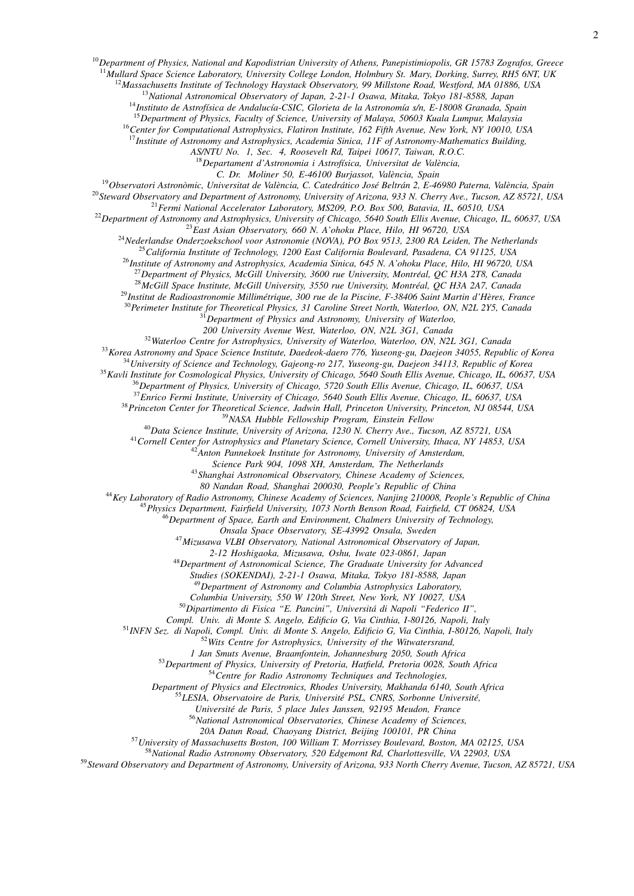*Mullard Space Science Laboratory, University College London, Holmbury St. Mary, Dorking, Surrey, RH5 6NT, UK*

*Massachusetts Institute of Technology Haystack Observatory, 99 Millstone Road, Westford, MA 01886, USA*

*National Astronomical Observatory of Japan, 2-21-1 Osawa, Mitaka, Tokyo 181-8588, Japan*

<sup>14</sup>Instituto de Astrofísica de Andalucía-CSIC, Glorieta de la Astronomía s/n, E-18008 Granada, Spain

*Department of Physics, Faculty of Science, University of Malaya, 50603 Kuala Lumpur, Malaysia*

*Center for Computational Astrophysics, Flatiron Institute, 162 Fifth Avenue, New York, NY 10010, USA Institute of Astronomy and Astrophysics, Academia Sinica, 11F of Astronomy-Mathematics Building,*

*AS/NTU No. 1, Sec. 4, Roosevelt Rd, Taipei 10617, Taiwan, R.O.C.*

*Departament d'Astronomia i Astrof´ısica, Universitat de Valencia, `*

*C. Dr. Moliner 50, E-46100 Burjassot, Valencia, Spain `*

<sup>19</sup> Observatori Astronòmic, Universitat de València, C. Catedrático José Beltrán 2, E-46980 Paterna, València, Spain

*Steward Observatory and Department of Astronomy, University of Arizona, 933 N. Cherry Ave., Tucson, AZ 85721, USA*

*Fermi National Accelerator Laboratory, MS209, P.O. Box 500, Batavia, IL, 60510, USA*

*Department of Astronomy and Astrophysics, University of Chicago, 5640 South Ellis Avenue, Chicago, IL, 60637, USA*

*East Asian Observatory, 660 N. A'ohoku Place, Hilo, HI 96720, USA*

*Nederlandse Onderzoekschool voor Astronomie (NOVA), PO Box 9513, 2300 RA Leiden, The Netherlands*

*California Institute of Technology, 1200 East California Boulevard, Pasadena, CA 91125, USA*

*Institute of Astronomy and Astrophysics, Academia Sinica, 645 N. A'ohoku Place, Hilo, HI 96720, USA*

*Department of Physics, McGill University, 3600 rue University, Montreal, QC H3A 2T8, Canada ´*

*McGill Space Institute, McGill University, 3550 rue University, Montreal, QC H3A 2A7, Canada ´*

<sup>29</sup>Institut de Radioastronomie Millimétrique, 300 rue de la Piscine, F-38406 Saint Martin d'Hères, France

*Perimeter Institute for Theoretical Physics, 31 Caroline Street North, Waterloo, ON, N2L 2Y5, Canada*

*Department of Physics and Astronomy, University of Waterloo,*

*200 University Avenue West, Waterloo, ON, N2L 3G1, Canada*

*Waterloo Centre for Astrophysics, University of Waterloo, Waterloo, ON, N2L 3G1, Canada*

*Korea Astronomy and Space Science Institute, Daedeok-daero 776, Yuseong-gu, Daejeon 34055, Republic of Korea University of Science and Technology, Gajeong-ro 217, Yuseong-gu, Daejeon 34113, Republic of Korea*

*Kavli Institute for Cosmological Physics, University of Chicago, 5640 South Ellis Avenue, Chicago, IL, 60637, USA*

*Department of Physics, University of Chicago, 5720 South Ellis Avenue, Chicago, IL, 60637, USA*

*Enrico Fermi Institute, University of Chicago, 5640 South Ellis Avenue, Chicago, IL, 60637, USA*

*Princeton Center for Theoretical Science, Jadwin Hall, Princeton University, Princeton, NJ 08544, USA*

*NASA Hubble Fellowship Program, Einstein Fellow*

*Data Science Institute, University of Arizona, 1230 N. Cherry Ave., Tucson, AZ 85721, USA*

*Cornell Center for Astrophysics and Planetary Science, Cornell University, Ithaca, NY 14853, USA*

*Anton Pannekoek Institute for Astronomy, University of Amsterdam,*

*Science Park 904, 1098 XH, Amsterdam, The Netherlands*

*Shanghai Astronomical Observatory, Chinese Academy of Sciences,*

*80 Nandan Road, Shanghai 200030, People's Republic of China*

*Key Laboratory of Radio Astronomy, Chinese Academy of Sciences, Nanjing 210008, People's Republic of China*

*Physics Department, Fairfield University, 1073 North Benson Road, Fairfield, CT 06824, USA*

*Department of Space, Earth and Environment, Chalmers University of Technology,*

*Onsala Space Observatory, SE-43992 Onsala, Sweden*

*Mizusawa VLBI Observatory, National Astronomical Observatory of Japan,*

*2-12 Hoshigaoka, Mizusawa, Oshu, Iwate 023-0861, Japan*

*Department of Astronomical Science, The Graduate University for Advanced*

*Studies (SOKENDAI), 2-21-1 Osawa, Mitaka, Tokyo 181-8588, Japan*

*Department of Astronomy and Columbia Astrophysics Laboratory,*

*Columbia University, 550 W 120th Street, New York, NY 10027, USA*

*Dipartimento di Fisica "E. Pancini", Universita di Napoli "Federico II", ´*

*Compl. Univ. di Monte S. Angelo, Edificio G, Via Cinthia, I-80126, Napoli, Italy*

*INFN Sez. di Napoli, Compl. Univ. di Monte S. Angelo, Edificio G, Via Cinthia, I-80126, Napoli, Italy*

*Wits Centre for Astrophysics, University of the Witwatersrand,*

*1 Jan Smuts Avenue, Braamfontein, Johannesburg 2050, South Africa*

*Department of Physics, University of Pretoria, Hatfield, Pretoria 0028, South Africa*

*Centre for Radio Astronomy Techniques and Technologies,*

*Department of Physics and Electronics, Rhodes University, Makhanda 6140, South Africa*

55 LESIA, Observatoire de Paris, Université PSL, CNRS, Sorbonne Université,

*Universite de Paris, 5 place Jules Janssen, 92195 Meudon, France ´*

*National Astronomical Observatories, Chinese Academy of Sciences,*

*20A Datun Road, Chaoyang District, Beijing 100101, PR China*

*University of Massachusetts Boston, 100 William T. Morrissey Boulevard, Boston, MA 02125, USA*

*National Radio Astronomy Observatory, 520 Edgemont Rd, Charlottesville, VA 22903, USA*

*Steward Observatory and Department of Astronomy, University of Arizona, 933 North Cherry Avenue, Tucson, AZ 85721, USA*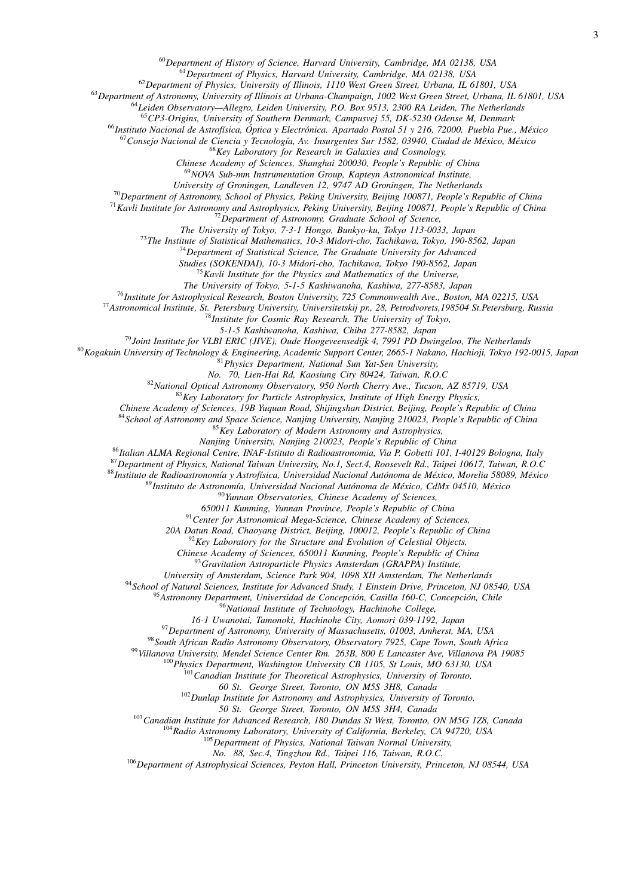*Department of History of Science, Harvard University, Cambridge, MA 02138, USA*

*Department of Physics, Harvard University, Cambridge, MA 02138, USA*

*Department of Physics, University of Illinois, 1110 West Green Street, Urbana, IL 61801, USA*

*Department of Astronomy, University of Illinois at Urbana-Champaign, 1002 West Green Street, Urbana, IL 61801, USA*

*Leiden Observatory—Allegro, Leiden University, P.O. Box 9513, 2300 RA Leiden, The Netherlands*

*CP3-Origins, University of Southern Denmark, Campusvej 55, DK-5230 Odense M, Denmark*

*Instituto Nacional de Astrof´ısica, Optica y Electr ´ onica. Apartado Postal 51 y 216, 72000. Puebla Pue., M ´ exico ´*

*Consejo Nacional de Ciencia y Tecnolog´ıa, Av. Insurgentes Sur 1582, 03940, Ciudad de Mexico, M ´ exico ´*

*Key Laboratory for Research in Galaxies and Cosmology,*

*Chinese Academy of Sciences, Shanghai 200030, People's Republic of China*

*NOVA Sub-mm Instrumentation Group, Kapteyn Astronomical Institute,*

*University of Groningen, Landleven 12, 9747 AD Groningen, The Netherlands*

*Department of Astronomy, School of Physics, Peking University, Beijing 100871, People's Republic of China*

*Kavli Institute for Astronomy and Astrophysics, Peking University, Beijing 100871, People's Republic of China*

*Department of Astronomy, Graduate School of Science,*

*The University of Tokyo, 7-3-1 Hongo, Bunkyo-ku, Tokyo 113-0033, Japan*

*The Institute of Statistical Mathematics, 10-3 Midori-cho, Tachikawa, Tokyo, 190-8562, Japan*

*Department of Statistical Science, The Graduate University for Advanced*

*Studies (SOKENDAI), 10-3 Midori-cho, Tachikawa, Tokyo 190-8562, Japan*

*Kavli Institute for the Physics and Mathematics of the Universe,*

*The University of Tokyo, 5-1-5 Kashiwanoha, Kashiwa, 277-8583, Japan*

*Institute for Astrophysical Research, Boston University, 725 Commonwealth Ave., Boston, MA 02215, USA*

*Astronomical Institute, St. Petersburg University, Universitetskij pr., 28, Petrodvorets,198504 St.Petersburg, Russia*

*Institute for Cosmic Ray Research, The University of Tokyo,*

*5-1-5 Kashiwanoha, Kashiwa, Chiba 277-8582, Japan*

*Joint Institute for VLBI ERIC (JIVE), Oude Hoogeveensedijk 4, 7991 PD Dwingeloo, The Netherlands*

*Kogakuin University of Technology & Engineering, Academic Support Center, 2665-1 Nakano, Hachioji, Tokyo 192-0015, Japan*

*Physics Department, National Sun Yat-Sen University,*

*No. 70, Lien-Hai Rd, Kaosiung City 80424, Taiwan, R.O.C*

*National Optical Astronomy Observatory, 950 North Cherry Ave., Tucson, AZ 85719, USA*

*Key Laboratory for Particle Astrophysics, Institute of High Energy Physics,*

*Chinese Academy of Sciences, 19B Yuquan Road, Shijingshan District, Beijing, People's Republic of China*

*School of Astronomy and Space Science, Nanjing University, Nanjing 210023, People's Republic of China*

*Key Laboratory of Modern Astronomy and Astrophysics,*

*Nanjing University, Nanjing 210023, People's Republic of China*

*Italian ALMA Regional Centre, INAF-Istituto di Radioastronomia, Via P. Gobetti 101, I-40129 Bologna, Italy*

*Department of Physics, National Taiwan University, No.1, Sect.4, Roosevelt Rd., Taipei 10617, Taiwan, R.O.C*

*Instituto de Radioastronom´ıa y Astrof´ısica, Universidad Nacional Autonoma de M ´ exico, Morelia 58089, M ´ exico ´*

89 Instituto de Astronomía, Universidad Nacional Autónoma de México, CdMx 04510, México

*Yunnan Observatories, Chinese Academy of Sciences,*

*650011 Kunming, Yunnan Province, People's Republic of China*

*Center for Astronomical Mega-Science, Chinese Academy of Sciences,*

*20A Datun Road, Chaoyang District, Beijing, 100012, People's Republic of China*

*Key Laboratory for the Structure and Evolution of Celestial Objects,*

*Chinese Academy of Sciences, 650011 Kunming, People's Republic of China*

*Gravitation Astroparticle Physics Amsterdam (GRAPPA) Institute,*

*University of Amsterdam, Science Park 904, 1098 XH Amsterdam, The Netherlands*

*School of Natural Sciences, Institute for Advanced Study, 1 Einstein Drive, Princeton, NJ 08540, USA*

<sup>95</sup> Astronomy Department, Universidad de Concepción, Casilla 160-C, Concepción, Chile

*National Institute of Technology, Hachinohe College,*

*16-1 Uwanotai, Tamonoki, Hachinohe City, Aomori 039-1192, Japan*

*Department of Astronomy, University of Massachusetts, 01003, Amherst, MA, USA*

*South African Radio Astronomy Observatory, Observatory 7925, Cape Town, South Africa*

*Villanova University, Mendel Science Center Rm. 263B, 800 E Lancaster Ave, Villanova PA 19085*

*Physics Department, Washington University CB 1105, St Louis, MO 63130, USA*

*Canadian Institute for Theoretical Astrophysics, University of Toronto,*

*60 St. George Street, Toronto, ON M5S 3H8, Canada*

*Dunlap Institute for Astronomy and Astrophysics, University of Toronto,*

*50 St. George Street, Toronto, ON M5S 3H4, Canada*

*Canadian Institute for Advanced Research, 180 Dundas St West, Toronto, ON M5G 1Z8, Canada*

*Radio Astronomy Laboratory, University of California, Berkeley, CA 94720, USA*

*Department of Physics, National Taiwan Normal University,*

*No. 88, Sec.4, Tingzhou Rd., Taipei 116, Taiwan, R.O.C.*

*Department of Astrophysical Sciences, Peyton Hall, Princeton University, Princeton, NJ 08544, USA*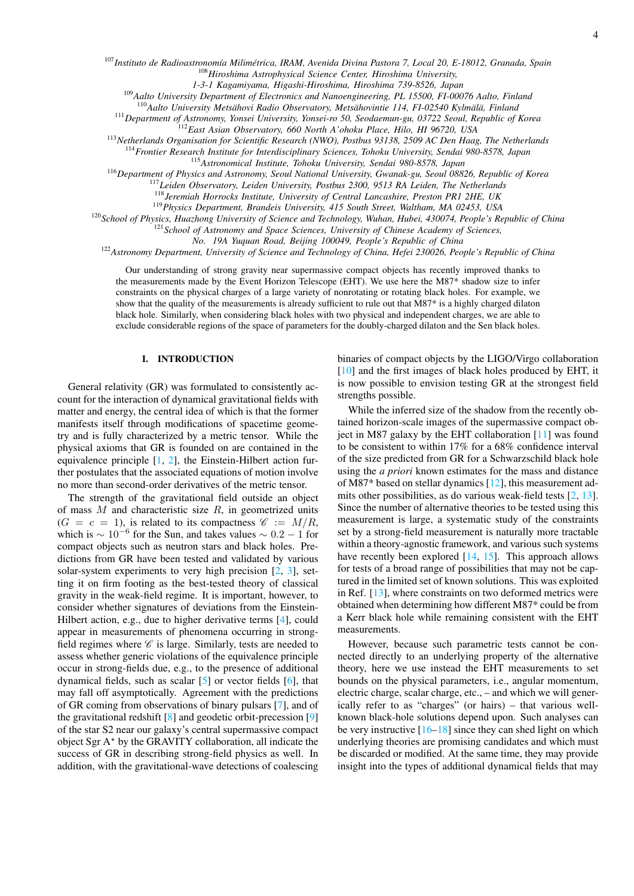<sup>107</sup>*Instituto de Radioastronom´ıa Milimetrica, IRAM, Avenida Divina Pastora 7, Local 20, E-18012, Granada, Spain ´* <sup>108</sup>*Hiroshima Astrophysical Science Center, Hiroshima University,*

*1-3-1 Kagamiyama, Higashi-Hiroshima, Hiroshima 739-8526, Japan*

<sup>109</sup>*Aalto University Department of Electronics and Nanoengineering, PL 15500, FI-00076 Aalto, Finland*

<sup>110</sup>Aalto University Metsähovi Radio Observatory, Metsähovintie 114, FI-02540 Kylmälä, Finland

<sup>111</sup>*Department of Astronomy, Yonsei University, Yonsei-ro 50, Seodaemun-gu, 03722 Seoul, Republic of Korea*

<sup>112</sup>*East Asian Observatory, 660 North A'ohoku Place, Hilo, HI 96720, USA*

<sup>113</sup>*Netherlands Organisation for Scientific Research (NWO), Postbus 93138, 2509 AC Den Haag, The Netherlands*

<sup>114</sup>*Frontier Research Institute for Interdisciplinary Sciences, Tohoku University, Sendai 980-8578, Japan*

<sup>115</sup>*Astronomical Institute, Tohoku University, Sendai 980-8578, Japan*

<sup>116</sup>*Department of Physics and Astronomy, Seoul National University, Gwanak-gu, Seoul 08826, Republic of Korea*

<sup>117</sup>*Leiden Observatory, Leiden University, Postbus 2300, 9513 RA Leiden, The Netherlands*

<sup>118</sup>*Jeremiah Horrocks Institute, University of Central Lancashire, Preston PR1 2HE, UK*

<sup>119</sup>*Physics Department, Brandeis University, 415 South Street, Waltham, MA 02453, USA*

<sup>120</sup>*School of Physics, Huazhong University of Science and Technology, Wuhan, Hubei, 430074, People's Republic of China*

<sup>121</sup>*School of Astronomy and Space Sciences, University of Chinese Academy of Sciences,*

*No. 19A Yuquan Road, Beijing 100049, People's Republic of China*

<sup>122</sup>*Astronomy Department, University of Science and Technology of China, Hefei 230026, People's Republic of China*

Our understanding of strong gravity near supermassive compact objects has recently improved thanks to the measurements made by the Event Horizon Telescope (EHT). We use here the M87\* shadow size to infer constraints on the physical charges of a large variety of nonrotating or rotating black holes. For example, we show that the quality of the measurements is already sufficient to rule out that M87\* is a highly charged dilaton black hole. Similarly, when considering black holes with two physical and independent charges, we are able to exclude considerable regions of the space of parameters for the doubly-charged dilaton and the Sen black holes.

## I. INTRODUCTION

General relativity (GR) was formulated to consistently account for the interaction of dynamical gravitational fields with matter and energy, the central idea of which is that the former manifests itself through modifications of spacetime geometry and is fully characterized by a metric tensor. While the physical axioms that GR is founded on are contained in the equivalence principle  $[1, 2]$  $[1, 2]$  $[1, 2]$ , the Einstein-Hilbert action further postulates that the associated equations of motion involve no more than second-order derivatives of the metric tensor.

The strength of the gravitational field outside an object of mass  $M$  and characteristic size  $R$ , in geometrized units  $(G = c = 1)$ , is related to its compactness  $\mathscr{C} := M/R$ , which is  $\sim 10^{-6}$  for the Sun, and takes values  $\sim 0.2 - 1$  for compact objects such as neutron stars and black holes. Predictions from GR have been tested and validated by various solar-system experiments to very high precision [\[2,](#page-11-1) [3\]](#page-11-2), setting it on firm footing as the best-tested theory of classical gravity in the weak-field regime. It is important, however, to consider whether signatures of deviations from the Einstein-Hilbert action, e.g., due to higher derivative terms [\[4\]](#page-11-3), could appear in measurements of phenomena occurring in strongfield regimes where  $\mathscr C$  is large. Similarly, tests are needed to assess whether generic violations of the equivalence principle occur in strong-fields due, e.g., to the presence of additional dynamical fields, such as scalar [\[5\]](#page-11-4) or vector fields [\[6\]](#page-11-5), that may fall off asymptotically. Agreement with the predictions of GR coming from observations of binary pulsars [\[7\]](#page-11-6), and of the gravitational redshift [\[8\]](#page-11-7) and geodetic orbit-precession [\[9\]](#page-11-8) of the star S2 near our galaxy's central supermassive compact object Sgr  $A^*$  by the GRAVITY collaboration, all indicate the success of GR in describing strong-field physics as well. In addition, with the gravitational-wave detections of coalescing

binaries of compact objects by the LIGO/Virgo collaboration [\[10\]](#page-11-9) and the first images of black holes produced by EHT, it is now possible to envision testing GR at the strongest field strengths possible.

While the inferred size of the shadow from the recently obtained horizon-scale images of the supermassive compact object in M87 galaxy by the EHT collaboration [\[11\]](#page-11-10) was found to be consistent to within 17% for a 68% confidence interval of the size predicted from GR for a Schwarzschild black hole using the *a priori* known estimates for the mass and distance of M87\* based on stellar dynamics [\[12\]](#page-12-0), this measurement admits other possibilities, as do various weak-field tests [\[2,](#page-11-1) [13\]](#page-12-1). Since the number of alternative theories to be tested using this measurement is large, a systematic study of the constraints set by a strong-field measurement is naturally more tractable within a theory-agnostic framework, and various such systems have recently been explored [\[14,](#page-12-2) [15\]](#page-12-3). This approach allows for tests of a broad range of possibilities that may not be captured in the limited set of known solutions. This was exploited in Ref. [\[13\]](#page-12-1), where constraints on two deformed metrics were obtained when determining how different M87\* could be from a Kerr black hole while remaining consistent with the EHT measurements.

However, because such parametric tests cannot be connected directly to an underlying property of the alternative theory, here we use instead the EHT measurements to set bounds on the physical parameters, i.e., angular momentum, electric charge, scalar charge, etc., – and which we will generically refer to as "charges" (or hairs) – that various wellknown black-hole solutions depend upon. Such analyses can be very instructive  $[16–18]$  $[16–18]$  since they can shed light on which underlying theories are promising candidates and which must be discarded or modified. At the same time, they may provide insight into the types of additional dynamical fields that may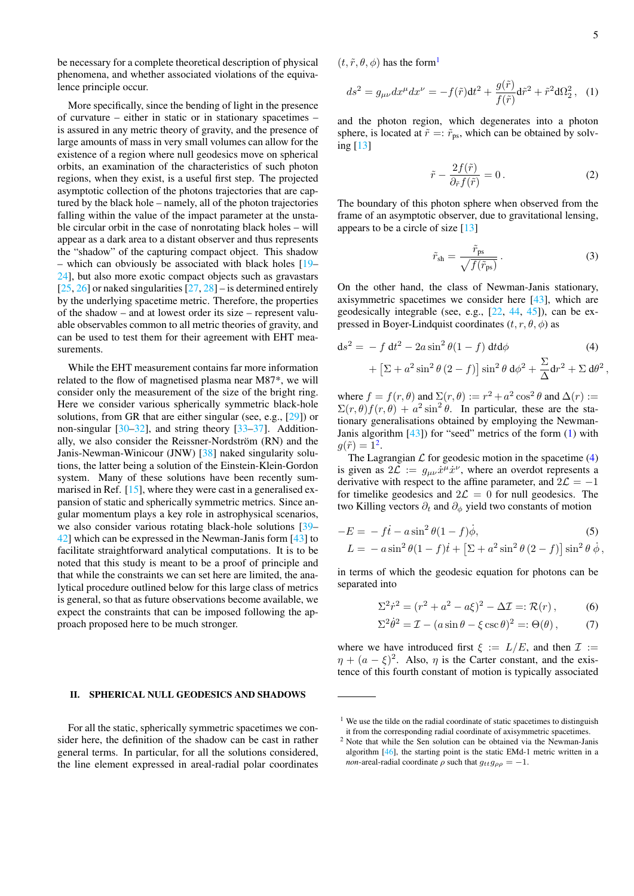<span id="page-4-3"></span>,

be necessary for a complete theoretical description of physical phenomena, and whether associated violations of the equivalence principle occur.

More specifically, since the bending of light in the presence of curvature – either in static or in stationary spacetimes – is assured in any metric theory of gravity, and the presence of large amounts of mass in very small volumes can allow for the existence of a region where null geodesics move on spherical orbits, an examination of the characteristics of such photon regions, when they exist, is a useful first step. The projected asymptotic collection of the photons trajectories that are captured by the black hole – namely, all of the photon trajectories falling within the value of the impact parameter at the unstable circular orbit in the case of nonrotating black holes – will appear as a dark area to a distant observer and thus represents the "shadow" of the capturing compact object. This shadow – which can obviously be associated with black holes [\[19–](#page-12-6) [24\]](#page-12-7), but also more exotic compact objects such as gravastars [\[25,](#page-12-8) [26\]](#page-12-9) or naked singularities  $[27, 28]$  $[27, 28]$  $[27, 28]$  – is determined entirely by the underlying spacetime metric. Therefore, the properties of the shadow – and at lowest order its size – represent valuable observables common to all metric theories of gravity, and can be used to test them for their agreement with EHT measurements.

While the EHT measurement contains far more information related to the flow of magnetised plasma near M87\*, we will consider only the measurement of the size of the bright ring. Here we consider various spherically symmetric black-hole solutions, from GR that are either singular (see, e.g., [\[29\]](#page-12-12)) or non-singular [\[30](#page-12-13)[–32\]](#page-12-14), and string theory [\[33–](#page-12-15)[37\]](#page-12-16). Additionally, we also consider the Reissner-Nordström (RN) and the Janis-Newman-Winicour (JNW) [\[38\]](#page-12-17) naked singularity solutions, the latter being a solution of the Einstein-Klein-Gordon system. Many of these solutions have been recently summarised in Ref.  $[15]$ , where they were cast in a generalised expansion of static and spherically symmetric metrics. Since angular momentum plays a key role in astrophysical scenarios, we also consider various rotating black-hole solutions [\[39–](#page-12-18) [42\]](#page-12-19) which can be expressed in the Newman-Janis form [\[43\]](#page-12-20) to facilitate straightforward analytical computations. It is to be noted that this study is meant to be a proof of principle and that while the constraints we can set here are limited, the analytical procedure outlined below for this large class of metrics is general, so that as future observations become available, we expect the constraints that can be imposed following the approach proposed here to be much stronger.

### II. SPHERICAL NULL GEODESICS AND SHADOWS

For all the static, spherically symmetric spacetimes we consider here, the definition of the shadow can be cast in rather general terms. In particular, for all the solutions considered, the line element expressed in areal-radial polar coordinates  $(t, \tilde{r}, \theta, \phi)$  has the form<sup>[1](#page-4-0)</sup>

<span id="page-4-1"></span>
$$
ds^{2} = g_{\mu\nu}dx^{\mu}dx^{\nu} = -f(\tilde{r})dt^{2} + \frac{g(\tilde{r})}{f(\tilde{r})}d\tilde{r}^{2} + \tilde{r}^{2}d\Omega_{2}^{2}, \quad (1)
$$

and the photon region, which degenerates into a photon sphere, is located at  $\tilde{r} =: \tilde{r}_{ps}$ , which can be obtained by solving [\[13\]](#page-12-1)

$$
\tilde{r} - \frac{2f(\tilde{r})}{\partial_{\tilde{r}}f(\tilde{r})} = 0.
$$
\n(2)

The boundary of this photon sphere when observed from the frame of an asymptotic observer, due to gravitational lensing, appears to be a circle of size [\[13\]](#page-12-1)

$$
\tilde{r}_{\rm sh} = \frac{\tilde{r}_{\rm ps}}{\sqrt{f(\tilde{r}_{\rm ps})}}\,. \tag{3}
$$

On the other hand, the class of Newman-Janis stationary, axisymmetric spacetimes we consider here [\[43\]](#page-12-20), which are geodesically integrable (see, e.g., [\[22,](#page-12-21) [44,](#page-12-22) [45\]](#page-12-23)), can be expressed in Boyer-Lindquist coordinates  $(t, r, \theta, \phi)$  as

$$
ds^{2} = -f dt^{2} - 2a \sin^{2} \theta (1 - f) dt d\phi
$$
\n
$$
+ \left[\Sigma + a^{2} \sin^{2} \theta (2 - f)\right] \sin^{2} \theta d\phi^{2} + \frac{\Sigma}{\Delta} dr^{2} + \Sigma d\theta^{2}
$$
\n(4)

where  $f = f(r, \theta)$  and  $\Sigma(r, \theta) := r^2 + a^2 \cos^2 \theta$  and  $\Delta(r) :=$  $\Sigma(r,\theta)f(r,\theta) + a^2 \sin^2 \theta$ . In particular, these are the stationary generalisations obtained by employing the Newman-Janis algorithm [\[43\]](#page-12-20)) for "seed" metrics of the form [\(1\)](#page-4-1) with  $g(\tilde{r}) = 1^2$  $g(\tilde{r}) = 1^2$ .

The Lagrangian  $\mathcal L$  for geodesic motion in the spacetime [\(4\)](#page-4-3) is given as  $2\mathcal{L} := g_{\mu\nu}\dot{x}^{\mu}\dot{x}^{\nu}$ , where an overdot represents a derivative with respect to the affine parameter, and  $2\mathcal{L} = -1$ for timelike geodesics and  $2\mathcal{L} = 0$  for null geodesics. The two Killing vectors  $\partial_t$  and  $\partial_\phi$  yield two constants of motion

$$
-E = -ft - a\sin^2\theta(1-f)\dot{\phi},
$$
  
\n
$$
L = -a\sin^2\theta(1-f)\dot{t} + \left[\Sigma + a^2\sin^2\theta(2-f)\right]\sin^2\theta\dot{\phi},
$$

in terms of which the geodesic equation for photons can be separated into

$$
\Sigma^{2} \dot{r}^{2} = (r^{2} + a^{2} - a\xi)^{2} - \Delta \mathcal{I} =: \mathcal{R}(r),
$$
 (6)

<span id="page-4-4"></span>
$$
\Sigma^2 \dot{\theta}^2 = \mathcal{I} - (a \sin \theta - \xi \csc \theta)^2 =: \Theta(\theta), \tag{7}
$$

where we have introduced first  $\xi := L/E$ , and then  $\mathcal{I} :=$  $\eta + (a - \xi)^2$ . Also,  $\eta$  is the Carter constant, and the existence of this fourth constant of motion is typically associated

<span id="page-4-0"></span> $1$  We use the tilde on the radial coordinate of static spacetimes to distinguish it from the corresponding radial coordinate of axisymmetric spacetimes.

<span id="page-4-2"></span><sup>2</sup> Note that while the Sen solution can be obtained via the Newman-Janis algorithm [\[46\]](#page-12-24), the starting point is the static EMd-1 metric written in a *non*-areal-radial coordinate  $\rho$  such that  $g_{tt}g_{\rho\rho} = -1$ .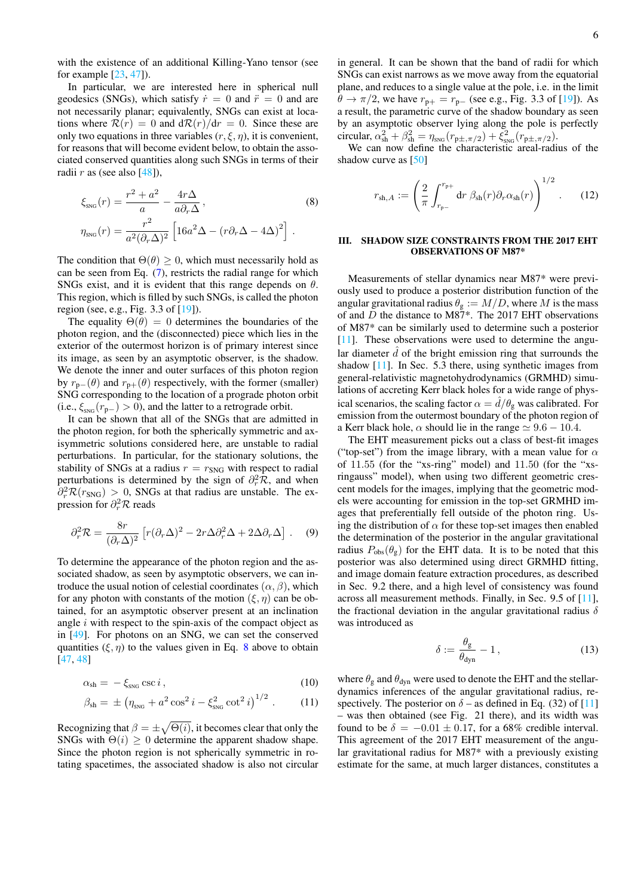with the existence of an additional Killing-Yano tensor (see for example [\[23,](#page-12-25) [47\]](#page-12-26)).

In particular, we are interested here in spherical null geodesics (SNGs), which satisfy  $\dot{r} = 0$  and  $\ddot{r} = 0$  and are not necessarily planar; equivalently, SNGs can exist at locations where  $\mathcal{R}(r) = 0$  and  $d\mathcal{R}(r)/dr = 0$ . Since these are only two equations in three variables  $(r, \xi, \eta)$ , it is convenient, for reasons that will become evident below, to obtain the associated conserved quantities along such SNGs in terms of their radii  $r$  as (see also [\[48\]](#page-12-27)),

$$
\xi_{\rm SNG}(r) = \frac{r^2 + a^2}{a} - \frac{4r\Delta}{a\partial_r\Delta},
$$
\n
$$
\eta_{\rm SNG}(r) = \frac{r^2}{a^2(\partial_r\Delta)^2} \left[16a^2\Delta - (r\partial_r\Delta - 4\Delta)^2\right].
$$
\n(8)

The condition that  $\Theta(\theta) \geq 0$ , which must necessarily hold as can be seen from Eq. [\(7\)](#page-4-4), restricts the radial range for which SNGs exist, and it is evident that this range depends on  $\theta$ . This region, which is filled by such SNGs, is called the photon region (see, e.g., Fig. 3.3 of [\[19\]](#page-12-6)).

The equality  $\Theta(\theta) = 0$  determines the boundaries of the photon region, and the (disconnected) piece which lies in the exterior of the outermost horizon is of primary interest since its image, as seen by an asymptotic observer, is the shadow. We denote the inner and outer surfaces of this photon region by  $r_{\mathbf{p}-}(\theta)$  and  $r_{\mathbf{p}+}(\theta)$  respectively, with the former (smaller) SNG corresponding to the location of a prograde photon orbit (i.e.,  $\xi_{\text{SNG}}(r_{\text{p}-}) > 0$ ), and the latter to a retrograde orbit.

It can be shown that all of the SNGs that are admitted in the photon region, for both the spherically symmetric and axisymmetric solutions considered here, are unstable to radial perturbations. In particular, for the stationary solutions, the stability of SNGs at a radius  $r = r_{\text{SNG}}$  with respect to radial perturbations is determined by the sign of  $\partial_r^2 \mathcal{R}$ , and when  $\partial_r^2 \mathcal{R}(r_{\text{SNG}}) > 0$ , SNGs at that radius are unstable. The expression for  $\partial_r^2 \mathcal{R}$  reads

$$
\partial_r^2 \mathcal{R} = \frac{8r}{(\partial_r \Delta)^2} \left[ r(\partial_r \Delta)^2 - 2r \Delta \partial_r^2 \Delta + 2 \Delta \partial_r \Delta \right]. \tag{9}
$$

To determine the appearance of the photon region and the associated shadow, as seen by asymptotic observers, we can introduce the usual notion of celestial coordinates  $(\alpha, \beta)$ , which for any photon with constants of the motion  $(\xi, \eta)$  can be obtained, for an asymptotic observer present at an inclination angle  $i$  with respect to the spin-axis of the compact object as in [\[49\]](#page-12-28). For photons on an SNG, we can set the conserved quantities  $(\xi, \eta)$  to the values given in Eq. [8](#page-5-0) above to obtain [\[47,](#page-12-26) [48\]](#page-12-27)

$$
\alpha_{\rm sh} = -\xi_{\rm sNG} \csc i \,, \tag{10}
$$

$$
\beta_{\rm sh} = \pm \left( \eta_{\rm SNG} + a^2 \cos^2 i - \xi_{\rm SNG}^2 \cot^2 i \right)^{1/2} . \tag{11}
$$

Recognizing that  $\beta = \pm \sqrt{\Theta(i)}$ , it becomes clear that only the SNGs with  $\Theta(i) > 0$  determine the apparent shadow shape. Since the photon region is not spherically symmetric in rotating spacetimes, the associated shadow is also not circular in general. It can be shown that the band of radii for which SNGs can exist narrows as we move away from the equatorial plane, and reduces to a single value at the pole, i.e. in the limit  $\theta \rightarrow \pi/2$ , we have  $r_{p+} = r_{p-}$  (see e.g., Fig. 3.3 of [\[19\]](#page-12-6)). As a result, the parametric curve of the shadow boundary as seen by an asymptotic observer lying along the pole is perfectly circular,  $\alpha_{\rm sh}^2 + \beta_{\rm sh}^2 = \eta_{\rm SNG}(r_{\rm p\pm,\pi/2}) + \xi_{\rm SNG}^2(r_{\rm p\pm,\pi/2}).$ 

We can now define the characteristic areal-radius of the shadow curve as [\[50\]](#page-12-29)

$$
r_{\mathrm{sh},A} := \left(\frac{2}{\pi} \int_{r_{\mathrm{p}-}}^{r_{\mathrm{p}+}} \mathrm{d}r \; \beta_{\mathrm{sh}}(r) \partial_r \alpha_{\mathrm{sh}}(r)\right)^{1/2} . \tag{12}
$$

#### <span id="page-5-0"></span>III. SHADOW SIZE CONSTRAINTS FROM THE 2017 EHT OBSERVATIONS OF M87\*

Measurements of stellar dynamics near M87\* were previously used to produce a posterior distribution function of the angular gravitational radius  $\theta_{g} := M/D$ , where M is the mass of and  $\overline{D}$  the distance to M87\*. The 2017 EHT observations of M87\* can be similarly used to determine such a posterior [\[11\]](#page-12-30). These observations were used to determine the angular diameter  $\tilde{d}$  of the bright emission ring that surrounds the shadow [\[11\]](#page-12-30). In Sec. 5.3 there, using synthetic images from general-relativistic magnetohydrodynamics (GRMHD) simulations of accreting Kerr black holes for a wide range of physical scenarios, the scaling factor  $\alpha = \hat{d}/\theta_{\rm g}$  was calibrated. For emission from the outermost boundary of the photon region of a Kerr black hole,  $\alpha$  should lie in the range  $\simeq 9.6 - 10.4$ .

The EHT measurement picks out a class of best-fit images ("top-set") from the image library, with a mean value for  $\alpha$ of 11.55 (for the "xs-ring" model) and 11.50 (for the "xsringauss" model), when using two different geometric crescent models for the images, implying that the geometric models were accounting for emission in the top-set GRMHD images that preferentially fell outside of the photon ring. Using the distribution of  $\alpha$  for these top-set images then enabled the determination of the posterior in the angular gravitational radius  $P_{obs}(\theta_g)$  for the EHT data. It is to be noted that this posterior was also determined using direct GRMHD fitting, and image domain feature extraction procedures, as described in Sec. 9.2 there, and a high level of consistency was found across all measurement methods. Finally, in Sec. 9.5 of [\[11\]](#page-12-30), the fractional deviation in the angular gravitational radius  $\delta$ was introduced as

$$
\delta := \frac{\theta_{\rm g}}{\theta_{\rm dyn}} - 1\,,\tag{13}
$$

where  $\theta_{\rm g}$  and  $\theta_{\rm dyn}$  were used to denote the EHT and the stellardynamics inferences of the angular gravitational radius, respectively. The posterior on  $\delta$  – as defined in Eq. (32) of [\[11\]](#page-12-30) – was then obtained (see Fig. 21 there), and its width was found to be  $\delta = -0.01 \pm 0.17$ , for a 68% credible interval. This agreement of the 2017 EHT measurement of the angular gravitational radius for M87\* with a previously existing estimate for the same, at much larger distances, constitutes a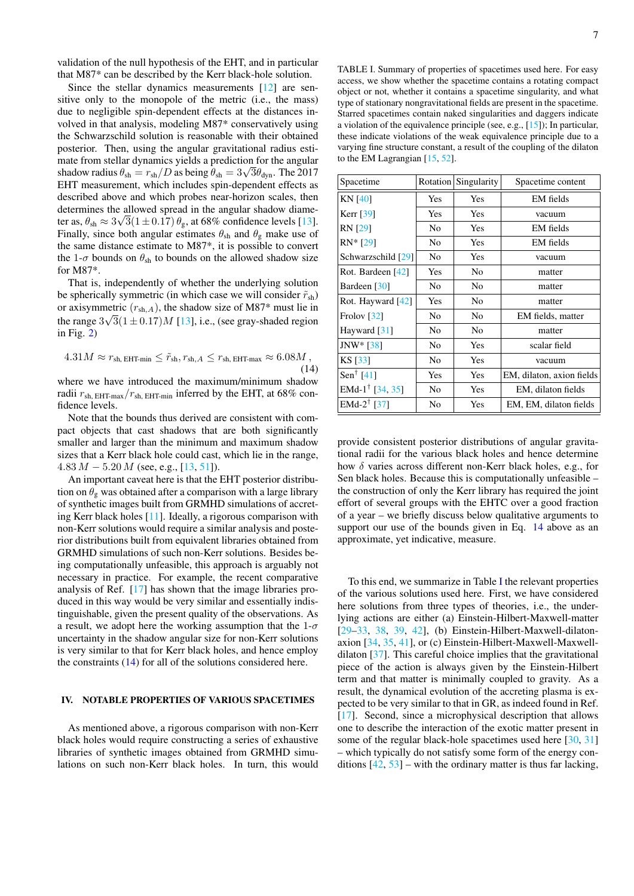validation of the null hypothesis of the EHT, and in particular that M87\* can be described by the Kerr black-hole solution.

Since the stellar dynamics measurements [\[12\]](#page-12-0) are sensitive only to the monopole of the metric (i.e., the mass) due to negligible spin-dependent effects at the distances involved in that analysis, modeling M87\* conservatively using the Schwarzschild solution is reasonable with their obtained posterior. Then, using the angular gravitational radius estimate from stellar dynamics yields a prediction for the angular shadow radius  $\theta_{\rm sh} = r_{\rm sh}/D$  as being  $\theta_{\rm sh} = 3\sqrt{3}\theta_{\rm dyn}$ . The 2017 EHT measurement, which includes spin-dependent effects as described above and which probes near-horizon scales, then determines the allowed spread in the angular shadow diameter as,  $\theta_{\rm sh} \approx 3\sqrt{3}(1 \pm 0.17) \theta_{\rm g}$ , at 68% confidence levels [\[13\]](#page-12-1). Finally, since both angular estimates  $\theta_{sh}$  and  $\theta_{g}$  make use of the same distance estimate to M87\*, it is possible to convert the 1- $\sigma$  bounds on  $\theta_{\rm sh}$  to bounds on the allowed shadow size for M87\*.

That is, independently of whether the underlying solution be spherically symmetric (in which case we will consider  $\tilde{r}_{\rm sh}$ ) or axisymmetric  $(r_{sh,A})$ , the shadow size of M87\* must lie in the range  $3\sqrt{3}(1 \pm 0.17)M$  [\[13\]](#page-12-1), i.e., (see gray-shaded region in Fig.  $2)$ 

<span id="page-6-0"></span>
$$
4.31M \approx r_{\rm sh, EHT-min} \leq \tilde{r}_{\rm sh}, r_{\rm sh, A} \leq r_{\rm sh, EHT-max} \approx 6.08M,
$$
\n(14)

where we have introduced the maximum/minimum shadow radii  $r_{\rm sh, EHT-max}/r_{\rm sh, EHT-min}$  inferred by the EHT, at 68% confidence levels.

Note that the bounds thus derived are consistent with compact objects that cast shadows that are both significantly smaller and larger than the minimum and maximum shadow sizes that a Kerr black hole could cast, which lie in the range,  $4.83 M - 5.20 M$  (see, e.g., [\[13,](#page-12-1) [51\]](#page-12-31)).

An important caveat here is that the EHT posterior distribution on  $\theta_{\rm g}$  was obtained after a comparison with a large library of synthetic images built from GRMHD simulations of accreting Kerr black holes [\[11\]](#page-12-32). Ideally, a rigorous comparison with non-Kerr solutions would require a similar analysis and posterior distributions built from equivalent libraries obtained from GRMHD simulations of such non-Kerr solutions. Besides being computationally unfeasible, this approach is arguably not necessary in practice. For example, the recent comparative analysis of Ref. [\[17\]](#page-12-33) has shown that the image libraries produced in this way would be very similar and essentially indistinguishable, given the present quality of the observations. As a result, we adopt here the working assumption that the  $1-\sigma$ uncertainty in the shadow angular size for non-Kerr solutions is very similar to that for Kerr black holes, and hence employ the constraints [\(14\)](#page-6-0) for all of the solutions considered here.

#### IV. NOTABLE PROPERTIES OF VARIOUS SPACETIMES

As mentioned above, a rigorous comparison with non-Kerr black holes would require constructing a series of exhaustive libraries of synthetic images obtained from GRMHD simulations on such non-Kerr black holes. In turn, this would

<span id="page-6-1"></span>TABLE I. Summary of properties of spacetimes used here. For easy access, we show whether the spacetime contains a rotating compact object or not, whether it contains a spacetime singularity, and what type of stationary nongravitational fields are present in the spacetime. Starred spacetimes contain naked singularities and daggers indicate a violation of the equivalence principle (see, e.g., [\[15\]](#page-12-3)); In particular, these indicate violations of the weak equivalence principle due to a varying fine structure constant, a result of the coupling of the dilaton to the EM Lagrangian [\[15,](#page-12-3) [52\]](#page-12-34).

| Spacetime                   | Rotation       | Singularity    | Spacetime content         |
|-----------------------------|----------------|----------------|---------------------------|
| <b>KN [40]</b>              | <b>Yes</b>     | Yes            | EM fields                 |
| Kerr $\lceil 39 \rceil$     | Yes            | Yes            | vacuum                    |
| <b>RN</b> <sub>[29]</sub>   | No             | Yes            | EM fields                 |
| $RN* [29]$                  | N <sub>0</sub> | Yes            | EM fields                 |
| Schwarzschild [29]          | N <sub>0</sub> | <b>Yes</b>     | vacuum                    |
| Rot. Bardeen [42]           | Yes            | N <sub>0</sub> | matter                    |
| Bardeen [30]                | No             | No             | matter                    |
| Rot. Hayward [42]           | Yes            | N <sub>0</sub> | matter                    |
| Frolov $\lceil 32 \rceil$   | No             | N <sub>0</sub> | EM fields, matter         |
| Hayward [31]                | N <sub>0</sub> | N <sub>0</sub> | matter                    |
| $JNW* [38]$                 | No             | Yes            | scalar field              |
| KS [33]                     | N <sub>0</sub> | <b>Yes</b>     | vacuum                    |
| Sen <sup>†</sup> [41]       | Yes            | Yes            | EM, dilaton, axion fields |
| EMd-1 <sup>†</sup> [34, 35] | N <sub>0</sub> | Yes            | EM, dilaton fields        |
| EMd-2 <sup>†</sup> [37]     | N <sub>0</sub> | Yes            | EM, EM, dilaton fields    |

provide consistent posterior distributions of angular gravitational radii for the various black holes and hence determine how  $\delta$  varies across different non-Kerr black holes, e.g., for Sen black holes. Because this is computationally unfeasible – the construction of only the Kerr library has required the joint effort of several groups with the EHTC over a good fraction of a year – we briefly discuss below qualitative arguments to support our use of the bounds given in Eq. [14](#page-6-0) above as an approximate, yet indicative, measure.

To this end, we summarize in Table [I](#page-6-1) the relevant properties of the various solutions used here. First, we have considered here solutions from three types of theories, i.e., the underlying actions are either (a) Einstein-Hilbert-Maxwell-matter [\[29](#page-12-12)[–33,](#page-12-15) [38,](#page-12-17) [39,](#page-12-18) [42\]](#page-12-19), (b) Einstein-Hilbert-Maxwell-dilatonaxion [\[34,](#page-12-38) [35,](#page-12-39) [41\]](#page-12-37), or (c) Einstein-Hilbert-Maxwell-Maxwelldilaton [\[37\]](#page-12-16). This careful choice implies that the gravitational piece of the action is always given by the Einstein-Hilbert term and that matter is minimally coupled to gravity. As a result, the dynamical evolution of the accreting plasma is expected to be very similar to that in GR, as indeed found in Ref. [\[17\]](#page-12-33). Second, since a microphysical description that allows one to describe the interaction of the exotic matter present in some of the regular black-hole spacetimes used here [\[30,](#page-12-13) [31\]](#page-12-36) – which typically do not satisfy some form of the energy conditions [\[42,](#page-12-19) [53\]](#page-12-40) – with the ordinary matter is thus far lacking,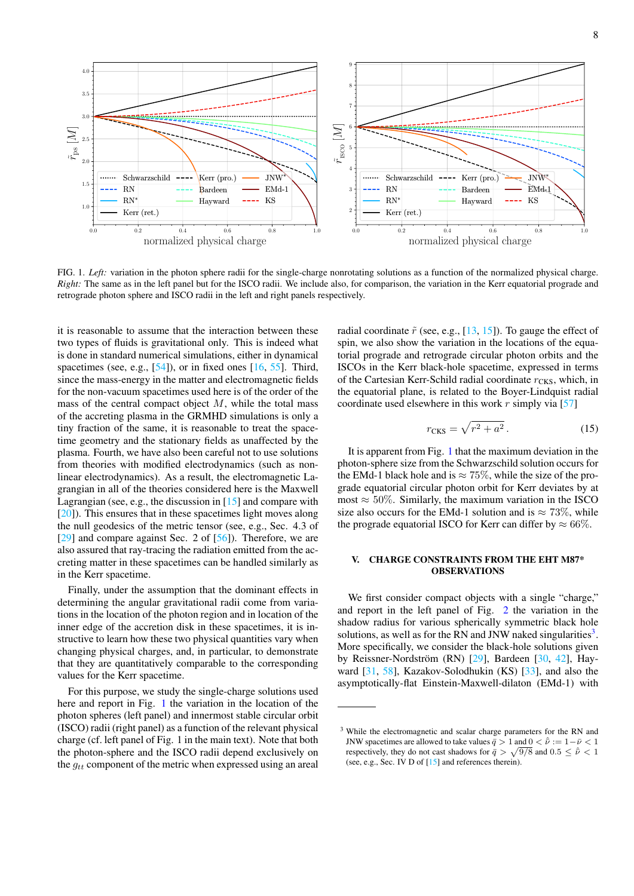

<span id="page-7-0"></span>FIG. 1. *Left:* variation in the photon sphere radii for the single-charge nonrotating solutions as a function of the normalized physical charge. *Right:* The same as in the left panel but for the ISCO radii. We include also, for comparison, the variation in the Kerr equatorial prograde and retrograde photon sphere and ISCO radii in the left and right panels respectively.

it is reasonable to assume that the interaction between these two types of fluids is gravitational only. This is indeed what is done in standard numerical simulations, either in dynamical spacetimes (see, e.g.,  $[54]$ ), or in fixed ones  $[16, 55]$  $[16, 55]$  $[16, 55]$ . Third, since the mass-energy in the matter and electromagnetic fields for the non-vacuum spacetimes used here is of the order of the mass of the central compact object  $M$ , while the total mass of the accreting plasma in the GRMHD simulations is only a tiny fraction of the same, it is reasonable to treat the spacetime geometry and the stationary fields as unaffected by the plasma. Fourth, we have also been careful not to use solutions from theories with modified electrodynamics (such as nonlinear electrodynamics). As a result, the electromagnetic Lagrangian in all of the theories considered here is the Maxwell Lagrangian (see, e.g., the discussion in [\[15\]](#page-12-3) and compare with [\[20\]](#page-12-44)). This ensures that in these spacetimes light moves along the null geodesics of the metric tensor (see, e.g., Sec. 4.3 of [\[29\]](#page-12-12) and compare against Sec. 2 of [\[56\]](#page-12-45)). Therefore, we are also assured that ray-tracing the radiation emitted from the accreting matter in these spacetimes can be handled similarly as in the Kerr spacetime.

Finally, under the assumption that the dominant effects in determining the angular gravitational radii come from variations in the location of the photon region and in location of the inner edge of the accretion disk in these spacetimes, it is instructive to learn how these two physical quantities vary when changing physical charges, and, in particular, to demonstrate that they are quantitatively comparable to the corresponding values for the Kerr spacetime.

For this purpose, we study the single-charge solutions used here and report in Fig. [1](#page-7-0) the variation in the location of the photon spheres (left panel) and innermost stable circular orbit (ISCO) radii (right panel) as a function of the relevant physical charge (cf. left panel of Fig. 1 in the main text). Note that both the photon-sphere and the ISCO radii depend exclusively on the  $q_{tt}$  component of the metric when expressed using an areal radial coordinate  $\tilde{r}$  (see, e.g., [\[13,](#page-12-1) [15\]](#page-12-3)). To gauge the effect of spin, we also show the variation in the locations of the equatorial prograde and retrograde circular photon orbits and the ISCOs in the Kerr black-hole spacetime, expressed in terms of the Cartesian Kerr-Schild radial coordinate  $r_{CKS}$ , which, in the equatorial plane, is related to the Boyer-Lindquist radial coordinate used elsewhere in this work  $r$  simply via [\[57\]](#page-13-0)

$$
r_{\text{CKS}} = \sqrt{r^2 + a^2} \,. \tag{15}
$$

It is apparent from Fig. [1](#page-7-0) that the maximum deviation in the photon-sphere size from the Schwarzschild solution occurs for the EMd-1 black hole and is  $\approx 75\%$ , while the size of the prograde equatorial circular photon orbit for Kerr deviates by at most  $\approx 50\%$ . Similarly, the maximum variation in the ISCO size also occurs for the EMd-1 solution and is  $\approx 73\%$ , while the prograde equatorial ISCO for Kerr can differ by  $\approx 66\%$ .

### V. CHARGE CONSTRAINTS FROM THE EHT M87\* OBSERVATIONS

We first consider compact objects with a single "charge," and report in the left panel of Fig. [2](#page-8-0) the variation in the shadow radius for various spherically symmetric black hole solutions, as well as for the RN and JNW naked singularities $3$ . More specifically, we consider the black-hole solutions given by Reissner-Nordström (RN) [[29\]](#page-12-12), Bardeen [\[30,](#page-12-13) [42\]](#page-12-19), Hayward [\[31,](#page-12-36) [58\]](#page-13-1), Kazakov-Solodhukin (KS) [\[33\]](#page-12-15), and also the asymptotically-flat Einstein-Maxwell-dilaton (EMd-1) with

<span id="page-7-1"></span><sup>&</sup>lt;sup>3</sup> While the electromagnetic and scalar charge parameters for the RN and JNW spacetimes are allowed to take values  $\bar{q} > 1$  and  $0 < \hat{v} := 1 - \bar{\nu} < 1$ respectively, they do not cast shadows for  $\bar{q} > \sqrt{9/8}$  and  $0.5 \leq \hat{v} < 1$ (see, e.g., Sec. IV D of [\[15\]](#page-12-3) and references therein).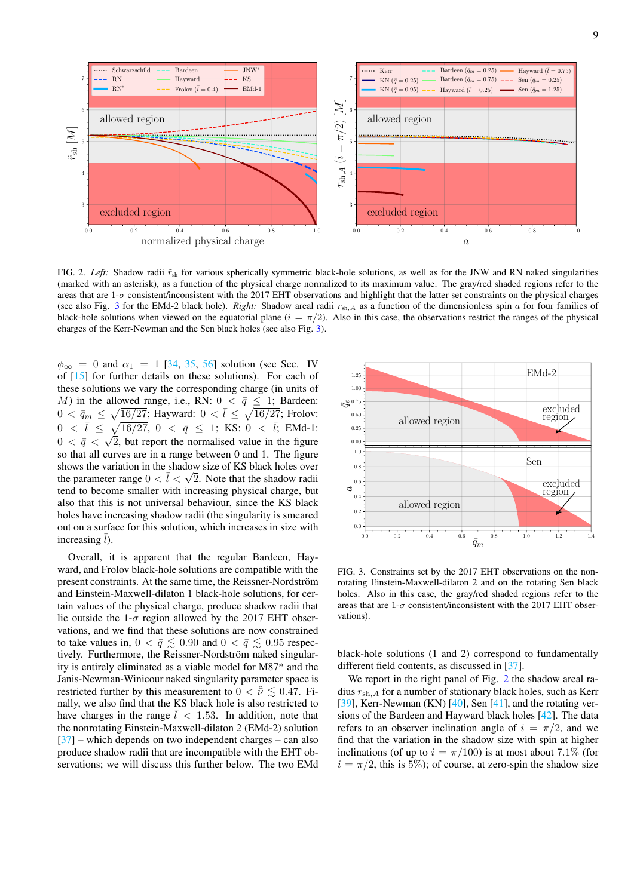

<span id="page-8-0"></span>FIG. 2. *Left:* Shadow radii  $\tilde{r}_{sh}$  for various spherically symmetric black-hole solutions, as well as for the JNW and RN naked singularities (marked with an asterisk), as a function of the physical charge normalized to its maximum value. The gray/red shaded regions refer to the areas that are  $1-\sigma$  consistent/inconsistent with the 2017 EHT observations and highlight that the latter set constraints on the physical charges (see also Fig. [3](#page-8-1) for the EMd-2 black hole). *Right:* Shadow areal radii  $r_{\text{sh},A}$  as a function of the dimensionless spin a for four families of black-hole solutions when viewed on the equatorial plane ( $i = \pi/2$ ). Also in this case, the observations restrict the ranges of the physical charges of the Kerr-Newman and the Sen black holes (see also Fig. [3\)](#page-8-1).

 $\phi_{\infty} = 0$  and  $\alpha_1 = 1$  [\[34,](#page-12-38) [35,](#page-12-39) [56\]](#page-12-45) solution (see Sec. IV of [\[15\]](#page-12-3) for further details on these solutions). For each of these solutions we vary the corresponding charge (in units of M) in the allowed range, i.e., RN:  $0 \lt \bar{q} \leq 1$ ; Bardeen:  $0 < \bar{q}_m \le \sqrt{\frac{16/27}{2}}$ ; Hayward:  $0 < \bar{l} \le \sqrt{\frac{16/27}{2}}$ ; Frolov:  $0 \ < \ \bar{l} \ \leq \ \sqrt{16/27}, \ 0 \ < \ \bar{q} \ \leq \ 1; \ \, \mathrm{KS:} \ 0 \ < \ \bar{l}; \ \, \mathrm{EMd\text{-}1:}$  $0 < \bar{q} < \sqrt{2}$ , but report the normalised value in the figure so that all curves are in a range between 0 and 1. The figure shows the variation in the shadow size of KS black holes over the parameter range  $0 < \bar{l} < \sqrt{2}$ . Note that the shadow radii tend to become smaller with increasing physical charge, but also that this is not universal behaviour, since the KS black holes have increasing shadow radii (the singularity is smeared out on a surface for this solution, which increases in size with increasing  $l$ ).

Overall, it is apparent that the regular Bardeen, Hayward, and Frolov black-hole solutions are compatible with the present constraints. At the same time, the Reissner-Nordström and Einstein-Maxwell-dilaton 1 black-hole solutions, for certain values of the physical charge, produce shadow radii that lie outside the 1- $\sigma$  region allowed by the 2017 EHT observations, and we find that these solutions are now constrained to take values in,  $0 < \bar{q} \lesssim 0.90$  and  $0 < \bar{q} \lesssim 0.95$  respectively. Furthermore, the Reissner-Nordström naked singularity is entirely eliminated as a viable model for M87\* and the Janis-Newman-Winicour naked singularity parameter space is restricted further by this measurement to  $0 < \hat{v} \le 0.47$ . Finally, we also find that the KS black hole is also restricted to have charges in the range  $\overline{l}$  < 1.53. In addition, note that the nonrotating Einstein-Maxwell-dilaton 2 (EMd-2) solution  $[37]$  – which depends on two independent charges – can also produce shadow radii that are incompatible with the EHT observations; we will discuss this further below. The two EMd



<span id="page-8-1"></span>FIG. 3. Constraints set by the 2017 EHT observations on the nonrotating Einstein-Maxwell-dilaton 2 and on the rotating Sen black holes. Also in this case, the gray/red shaded regions refer to the areas that are  $1-\sigma$  consistent/inconsistent with the 2017 EHT observations).

black-hole solutions (1 and 2) correspond to fundamentally different field contents, as discussed in [\[37\]](#page-12-16).

We report in the right panel of Fig. [2](#page-8-0) the shadow areal radius  $r_{\mathrm{sh},A}$  for a number of stationary black holes, such as Kerr [\[39\]](#page-12-18), Kerr-Newman (KN) [\[40\]](#page-12-35), Sen [\[41\]](#page-12-37), and the rotating versions of the Bardeen and Hayward black holes [\[42\]](#page-12-19). The data refers to an observer inclination angle of  $i = \pi/2$ , and we find that the variation in the shadow size with spin at higher inclinations (of up to  $i = \pi/100$ ) is at most about 7.1% (for  $i = \pi/2$ , this is 5%); of course, at zero-spin the shadow size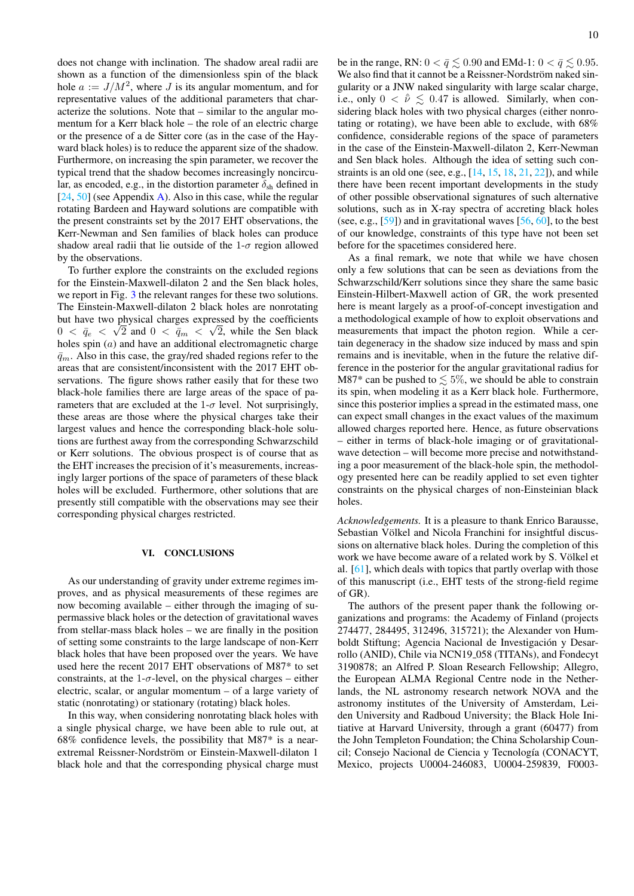does not change with inclination. The shadow areal radii are shown as a function of the dimensionless spin of the black hole  $a := J/M^2$ , where J is its angular momentum, and for representative values of the additional parameters that characterize the solutions. Note that – similar to the angular momentum for a Kerr black hole – the role of an electric charge or the presence of a de Sitter core (as in the case of the Hayward black holes) is to reduce the apparent size of the shadow. Furthermore, on increasing the spin parameter, we recover the typical trend that the shadow becomes increasingly noncircular, as encoded, e.g., in the distortion parameter  $\delta_{sh}$  defined in  $[24, 50]$  $[24, 50]$  $[24, 50]$  (see Appendix [A\)](#page-13-2). Also in this case, while the regular rotating Bardeen and Hayward solutions are compatible with the present constraints set by the 2017 EHT observations, the Kerr-Newman and Sen families of black holes can produce shadow areal radii that lie outside of the  $1-\sigma$  region allowed by the observations.

To further explore the constraints on the excluded regions for the Einstein-Maxwell-dilaton 2 and the Sen black holes, we report in Fig. [3](#page-8-1) the relevant ranges for these two solutions. The Einstein-Maxwell-dilaton 2 black holes are nonrotating but have two physical charges expressed by the coefficients  $0 < \bar{q}_e < \sqrt{2}$  and  $0 < \bar{q}_m < \sqrt{2}$ , while the Sen black holes spin (*a*) and have an additional electromagnetic charge  $\bar{q}_m$ . Also in this case, the gray/red shaded regions refer to the areas that are consistent/inconsistent with the 2017 EHT observations. The figure shows rather easily that for these two black-hole families there are large areas of the space of parameters that are excluded at the  $1-\sigma$  level. Not surprisingly, these areas are those where the physical charges take their largest values and hence the corresponding black-hole solutions are furthest away from the corresponding Schwarzschild or Kerr solutions. The obvious prospect is of course that as the EHT increases the precision of it's measurements, increasingly larger portions of the space of parameters of these black holes will be excluded. Furthermore, other solutions that are presently still compatible with the observations may see their corresponding physical charges restricted.

### VI. CONCLUSIONS

As our understanding of gravity under extreme regimes improves, and as physical measurements of these regimes are now becoming available – either through the imaging of supermassive black holes or the detection of gravitational waves from stellar-mass black holes – we are finally in the position of setting some constraints to the large landscape of non-Kerr black holes that have been proposed over the years. We have used here the recent 2017 EHT observations of M87\* to set constraints, at the 1- $\sigma$ -level, on the physical charges – either electric, scalar, or angular momentum – of a large variety of static (nonrotating) or stationary (rotating) black holes.

In this way, when considering nonrotating black holes with a single physical charge, we have been able to rule out, at 68% confidence levels, the possibility that M87\* is a nearextremal Reissner-Nordström or Einstein-Maxwell-dilaton 1 black hole and that the corresponding physical charge must

be in the range, RN:  $0 < \bar{q} \lesssim 0.90$  and EMd-1:  $0 < \bar{q} \lesssim 0.95$ . We also find that it cannot be a Reissner-Nordström naked singularity or a JNW naked singularity with large scalar charge, i.e., only  $0 < \hat{v} \le 0.47$  is allowed. Similarly, when considering black holes with two physical charges (either nonrotating or rotating), we have been able to exclude, with 68% confidence, considerable regions of the space of parameters in the case of the Einstein-Maxwell-dilaton 2, Kerr-Newman and Sen black holes. Although the idea of setting such constraints is an old one (see, e.g.,  $[14, 15, 18, 21, 22]$  $[14, 15, 18, 21, 22]$  $[14, 15, 18, 21, 22]$  $[14, 15, 18, 21, 22]$  $[14, 15, 18, 21, 22]$  $[14, 15, 18, 21, 22]$  $[14, 15, 18, 21, 22]$  $[14, 15, 18, 21, 22]$  $[14, 15, 18, 21, 22]$ ), and while there have been recent important developments in the study of other possible observational signatures of such alternative solutions, such as in X-ray spectra of accreting black holes (see, e.g.,  $[59]$ ) and in gravitational waves  $[56, 60]$  $[56, 60]$  $[56, 60]$ , to the best of our knowledge, constraints of this type have not been set before for the spacetimes considered here.

As a final remark, we note that while we have chosen only a few solutions that can be seen as deviations from the Schwarzschild/Kerr solutions since they share the same basic Einstein-Hilbert-Maxwell action of GR, the work presented here is meant largely as a proof-of-concept investigation and a methodological example of how to exploit observations and measurements that impact the photon region. While a certain degeneracy in the shadow size induced by mass and spin remains and is inevitable, when in the future the relative difference in the posterior for the angular gravitational radius for M87\* can be pushed to  $\leq 5\%$ , we should be able to constrain its spin, when modeling it as a Kerr black hole. Furthermore, since this posterior implies a spread in the estimated mass, one can expect small changes in the exact values of the maximum allowed charges reported here. Hence, as future observations – either in terms of black-hole imaging or of gravitationalwave detection – will become more precise and notwithstanding a poor measurement of the black-hole spin, the methodology presented here can be readily applied to set even tighter constraints on the physical charges of non-Einsteinian black holes.

*Acknowledgements.* It is a pleasure to thank Enrico Barausse, Sebastian Völkel and Nicola Franchini for insightful discussions on alternative black holes. During the completion of this work we have become aware of a related work by S. Völkel et al. [\[61\]](#page-13-5), which deals with topics that partly overlap with those of this manuscript (i.e., EHT tests of the strong-field regime of GR).

The authors of the present paper thank the following organizations and programs: the Academy of Finland (projects 274477, 284495, 312496, 315721); the Alexander von Humboldt Stiftung; Agencia Nacional de Investigación y Desarrollo (ANID), Chile via NCN19 058 (TITANs), and Fondecyt 3190878; an Alfred P. Sloan Research Fellowship; Allegro, the European ALMA Regional Centre node in the Netherlands, the NL astronomy research network NOVA and the astronomy institutes of the University of Amsterdam, Leiden University and Radboud University; the Black Hole Initiative at Harvard University, through a grant (60477) from the John Templeton Foundation; the China Scholarship Council; Consejo Nacional de Ciencia y Tecnología (CONACYT, Mexico, projects U0004-246083, U0004-259839, F0003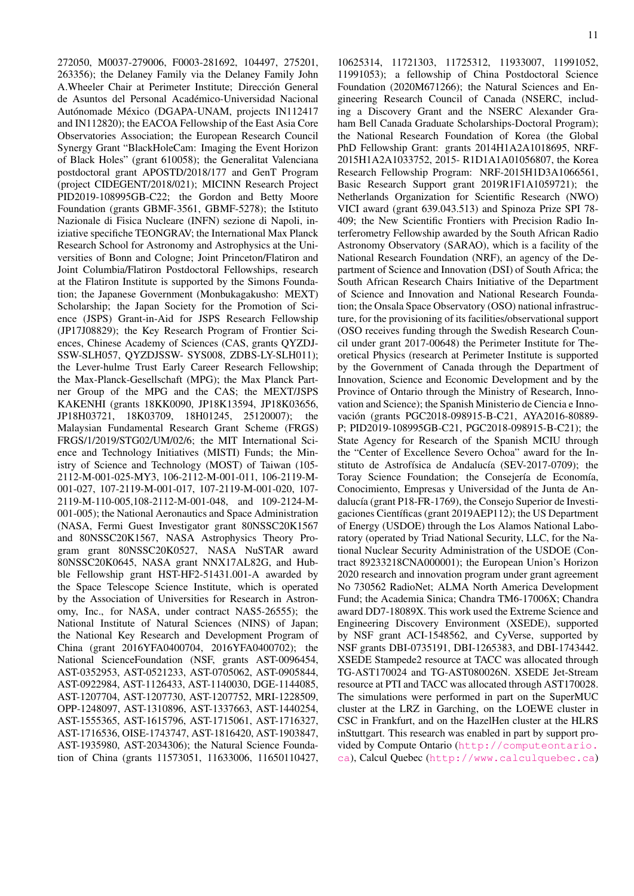272050, M0037-279006, F0003-281692, 104497, 275201, 263356); the Delaney Family via the Delaney Family John A.Wheeler Chair at Perimeter Institute; Direccion General ´ de Asuntos del Personal Academico-Universidad Nacional ´ Autónomade México (DGAPA-UNAM, projects IN112417 and IN112820); the EACOA Fellowship of the East Asia Core Observatories Association; the European Research Council Synergy Grant "BlackHoleCam: Imaging the Event Horizon of Black Holes" (grant 610058); the Generalitat Valenciana postdoctoral grant APOSTD/2018/177 and GenT Program (project CIDEGENT/2018/021); MICINN Research Project PID2019-108995GB-C22; the Gordon and Betty Moore Foundation (grants GBMF-3561, GBMF-5278); the Istituto Nazionale di Fisica Nucleare (INFN) sezione di Napoli, iniziative specifiche TEONGRAV; the International Max Planck Research School for Astronomy and Astrophysics at the Universities of Bonn and Cologne; Joint Princeton/Flatiron and Joint Columbia/Flatiron Postdoctoral Fellowships, research at the Flatiron Institute is supported by the Simons Foundation; the Japanese Government (Monbukagakusho: MEXT) Scholarship; the Japan Society for the Promotion of Science (JSPS) Grant-in-Aid for JSPS Research Fellowship (JP17J08829); the Key Research Program of Frontier Sciences, Chinese Academy of Sciences (CAS, grants QYZDJ-SSW-SLH057, QYZDJSSW- SYS008, ZDBS-LY-SLH011); the Lever-hulme Trust Early Career Research Fellowship; the Max-Planck-Gesellschaft (MPG); the Max Planck Partner Group of the MPG and the CAS; the MEXT/JSPS KAKENHI (grants 18KK0090, JP18K13594, JP18K03656, JP18H03721, 18K03709, 18H01245, 25120007); the Malaysian Fundamental Research Grant Scheme (FRGS) FRGS/1/2019/STG02/UM/02/6; the MIT International Science and Technology Initiatives (MISTI) Funds; the Ministry of Science and Technology (MOST) of Taiwan (105- 2112-M-001-025-MY3, 106-2112-M-001-011, 106-2119-M-001-027, 107-2119-M-001-017, 107-2119-M-001-020, 107- 2119-M-110-005,108-2112-M-001-048, and 109-2124-M-001-005); the National Aeronautics and Space Administration (NASA, Fermi Guest Investigator grant 80NSSC20K1567 and 80NSSC20K1567, NASA Astrophysics Theory Program grant 80NSSC20K0527, NASA NuSTAR award 80NSSC20K0645, NASA grant NNX17AL82G, and Hubble Fellowship grant HST-HF2-51431.001-A awarded by the Space Telescope Science Institute, which is operated by the Association of Universities for Research in Astronomy, Inc., for NASA, under contract NAS5-26555); the National Institute of Natural Sciences (NINS) of Japan; the National Key Research and Development Program of China (grant 2016YFA0400704, 2016YFA0400702); the National ScienceFoundation (NSF, grants AST-0096454, AST-0352953, AST-0521233, AST-0705062, AST-0905844, AST-0922984, AST-1126433, AST-1140030, DGE-1144085, AST-1207704, AST-1207730, AST-1207752, MRI-1228509, OPP-1248097, AST-1310896, AST-1337663, AST-1440254, AST-1555365, AST-1615796, AST-1715061, AST-1716327, AST-1716536, OISE-1743747, AST-1816420, AST-1903847, AST-1935980, AST-2034306); the Natural Science Foundation of China (grants 11573051, 11633006, 11650110427,

10625314, 11721303, 11725312, 11933007, 11991052, 11991053); a fellowship of China Postdoctoral Science Foundation (2020M671266); the Natural Sciences and Engineering Research Council of Canada (NSERC, including a Discovery Grant and the NSERC Alexander Graham Bell Canada Graduate Scholarships-Doctoral Program); the National Research Foundation of Korea (the Global PhD Fellowship Grant: grants 2014H1A2A1018695, NRF-2015H1A2A1033752, 2015- R1D1A1A01056807, the Korea Research Fellowship Program: NRF-2015H1D3A1066561, Basic Research Support grant 2019R1F1A1059721); the Netherlands Organization for Scientific Research (NWO) VICI award (grant 639.043.513) and Spinoza Prize SPI 78- 409; the New Scientific Frontiers with Precision Radio Interferometry Fellowship awarded by the South African Radio Astronomy Observatory (SARAO), which is a facility of the National Research Foundation (NRF), an agency of the Department of Science and Innovation (DSI) of South Africa; the South African Research Chairs Initiative of the Department of Science and Innovation and National Research Foundation; the Onsala Space Observatory (OSO) national infrastructure, for the provisioning of its facilities/observational support (OSO receives funding through the Swedish Research Council under grant 2017-00648) the Perimeter Institute for Theoretical Physics (research at Perimeter Institute is supported by the Government of Canada through the Department of Innovation, Science and Economic Development and by the Province of Ontario through the Ministry of Research, Innovation and Science); the Spanish Ministerio de Ciencia e Innovación (grants PGC2018-098915-B-C21, AYA2016-80889-P; PID2019-108995GB-C21, PGC2018-098915-B-C21); the State Agency for Research of the Spanish MCIU through the "Center of Excellence Severo Ochoa" award for the Instituto de Astrofísica de Andalucía (SEV-2017-0709); the Toray Science Foundation; the Consejería de Economía, Conocimiento, Empresas y Universidad of the Junta de Andalucía (grant P18-FR-1769), the Consejo Superior de Investigaciones Científicas (grant 2019AEP112); the US Department of Energy (USDOE) through the Los Alamos National Laboratory (operated by Triad National Security, LLC, for the National Nuclear Security Administration of the USDOE (Contract 89233218CNA000001); the European Union's Horizon 2020 research and innovation program under grant agreement No 730562 RadioNet; ALMA North America Development Fund; the Academia Sinica; Chandra TM6-17006X; Chandra award DD7-18089X. This work used the Extreme Science and Engineering Discovery Environment (XSEDE), supported by NSF grant ACI-1548562, and CyVerse, supported by NSF grants DBI-0735191, DBI-1265383, and DBI-1743442. XSEDE Stampede2 resource at TACC was allocated through TG-AST170024 and TG-AST080026N. XSEDE Jet-Stream resource at PTI and TACC was allocated through AST170028. The simulations were performed in part on the SuperMUC cluster at the LRZ in Garching, on the LOEWE cluster in CSC in Frankfurt, and on the HazelHen cluster at the HLRS inStuttgart. This research was enabled in part by support provided by Compute Ontario ([http://computeontario.](http://computeontario.ca) [ca](http://computeontario.ca)), Calcul Quebec (<http://www.calculquebec.ca>)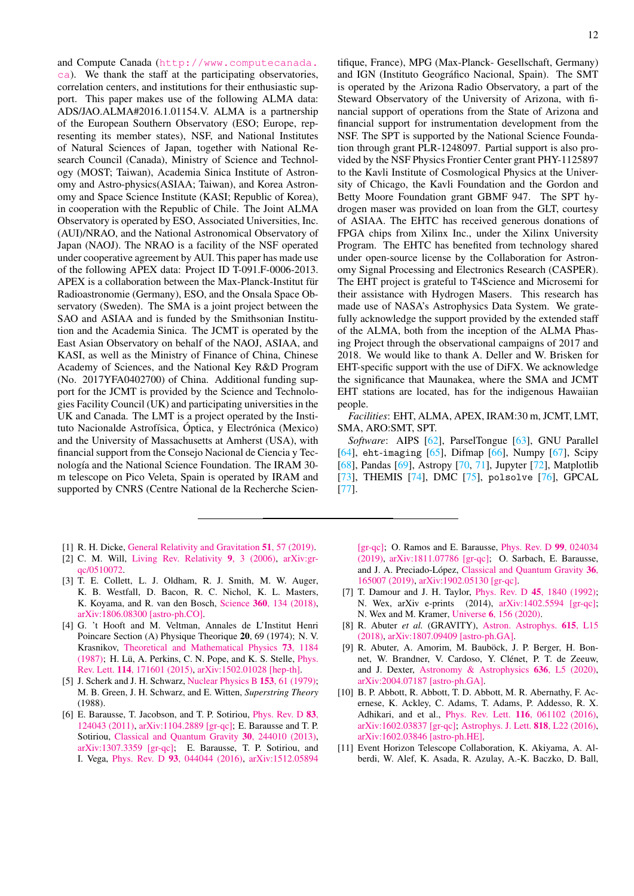and Compute Canada ([http://www.computecanada.](http://www.computecanada.ca) [ca](http://www.computecanada.ca)). We thank the staff at the participating observatories, correlation centers, and institutions for their enthusiastic support. This paper makes use of the following ALMA data: ADS/JAO.ALMA#2016.1.01154.V. ALMA is a partnership of the European Southern Observatory (ESO; Europe, representing its member states), NSF, and National Institutes of Natural Sciences of Japan, together with National Research Council (Canada), Ministry of Science and Technology (MOST; Taiwan), Academia Sinica Institute of Astronomy and Astro-physics(ASIAA; Taiwan), and Korea Astronomy and Space Science Institute (KASI; Republic of Korea), in cooperation with the Republic of Chile. The Joint ALMA Observatory is operated by ESO, Associated Universities, Inc. (AUI)/NRAO, and the National Astronomical Observatory of Japan (NAOJ). The NRAO is a facility of the NSF operated under cooperative agreement by AUI. This paper has made use of the following APEX data: Project ID T-091.F-0006-2013. APEX is a collaboration between the Max-Planck-Institut für Radioastronomie (Germany), ESO, and the Onsala Space Observatory (Sweden). The SMA is a joint project between the SAO and ASIAA and is funded by the Smithsonian Institution and the Academia Sinica. The JCMT is operated by the East Asian Observatory on behalf of the NAOJ, ASIAA, and KASI, as well as the Ministry of Finance of China, Chinese Academy of Sciences, and the National Key R&D Program (No. 2017YFA0402700) of China. Additional funding support for the JCMT is provided by the Science and Technologies Facility Council (UK) and participating universities in the UK and Canada. The LMT is a project operated by the Instituto Nacionalde Astrofísica, Óptica, y Electrónica (Mexico) and the University of Massachusetts at Amherst (USA), with financial support from the Consejo Nacional de Ciencia y Tecnología and the National Science Foundation. The IRAM 30m telescope on Pico Veleta, Spain is operated by IRAM and supported by CNRS (Centre National de la Recherche Scien-

- <span id="page-11-0"></span>[1] R. H. Dicke, [General Relativity and Gravitation](https://doi.org/10.1007/s10714-019-2509-2) 51, 57 (2019).
- <span id="page-11-1"></span>[2] C. M. Will, [Living Rev. Relativity](https://doi.org/10.12942/lrr-2006-3) 9, 3 (2006), [arXiv:gr](https://arxiv.org/abs/arXiv:gr-qc/0510072)[qc/0510072.](https://arxiv.org/abs/arXiv:gr-qc/0510072)
- <span id="page-11-2"></span>[3] T. E. Collett, L. J. Oldham, R. J. Smith, M. W. Auger, K. B. Westfall, D. Bacon, R. C. Nichol, K. L. Masters, K. Koyama, and R. van den Bosch, Science 360[, 134 \(2018\),](https://doi.org/10.1126/science.aao2469) [arXiv:1806.08300 \[astro-ph.CO\].](https://arxiv.org/abs/1806.08300)
- <span id="page-11-3"></span>[4] G. 't Hooft and M. Veltman, Annales de L'Institut Henri Poincare Section (A) Physique Theorique 20, 69 (1974); N. V. Krasnikov, [Theoretical and Mathematical Physics](https://doi.org/10.1007/BF01017588) 73, 1184  $(1987)$ ; H. Lü, A. Perkins, C. N. Pope, and K. S. Stelle, *[Phys.](https://doi.org/10.1103/PhysRevLett.114.171601)* Rev. Lett. 114[, 171601 \(2015\),](https://doi.org/10.1103/PhysRevLett.114.171601) [arXiv:1502.01028 \[hep-th\].](https://arxiv.org/abs/1502.01028)
- <span id="page-11-4"></span>[5] J. Scherk and J. H. Schwarz, [Nuclear Physics B](https://doi.org/10.1016/0550-3213(79)90592-3) 153, 61 (1979); M. B. Green, J. H. Schwarz, and E. Witten, *Superstring Theory* (1988).
- <span id="page-11-5"></span>[6] E. Barausse, T. Jacobson, and T. P. Sotiriou, [Phys. Rev. D](https://doi.org/10.1103/PhysRevD.83.124043) 83, [124043 \(2011\),](https://doi.org/10.1103/PhysRevD.83.124043) [arXiv:1104.2889 \[gr-qc\];](https://arxiv.org/abs/1104.2889) E. Barausse and T. P. Sotiriou, [Classical and Quantum Gravity](https://doi.org/10.1088/0264-9381/30/24/244010) 30, 244010 (2013), [arXiv:1307.3359 \[gr-qc\];](https://arxiv.org/abs/1307.3359) E. Barausse, T. P. Sotiriou, and I. Vega, Phys. Rev. D 93[, 044044 \(2016\),](https://doi.org/10.1103/PhysRevD.93.044044) [arXiv:1512.05894](https://arxiv.org/abs/1512.05894)

tifique, France), MPG (Max-Planck- Gesellschaft, Germany) and IGN (Instituto Geográfico Nacional, Spain). The SMT is operated by the Arizona Radio Observatory, a part of the Steward Observatory of the University of Arizona, with financial support of operations from the State of Arizona and financial support for instrumentation development from the NSF. The SPT is supported by the National Science Foundation through grant PLR-1248097. Partial support is also provided by the NSF Physics Frontier Center grant PHY-1125897 to the Kavli Institute of Cosmological Physics at the University of Chicago, the Kavli Foundation and the Gordon and Betty Moore Foundation grant GBMF 947. The SPT hydrogen maser was provided on loan from the GLT, courtesy of ASIAA. The EHTC has received generous donations of FPGA chips from Xilinx Inc., under the Xilinx University Program. The EHTC has benefited from technology shared under open-source license by the Collaboration for Astronomy Signal Processing and Electronics Research (CASPER). The EHT project is grateful to T4Science and Microsemi for their assistance with Hydrogen Masers. This research has made use of NASA's Astrophysics Data System. We gratefully acknowledge the support provided by the extended staff of the ALMA, both from the inception of the ALMA Phasing Project through the observational campaigns of 2017 and 2018. We would like to thank A. Deller and W. Brisken for EHT-specific support with the use of DiFX. We acknowledge the significance that Maunakea, where the SMA and JCMT EHT stations are located, has for the indigenous Hawaiian people.

*Facilities*: EHT, ALMA, APEX, IRAM:30 m, JCMT, LMT, SMA, ARO:SMT, SPT.

*Software*: AIPS [\[62\]](#page-13-6), ParselTongue [\[63\]](#page-13-7), GNU Parallel [\[64\]](#page-13-8), eht-imaging [\[65\]](#page-13-9), Difmap [\[66\]](#page-13-10), Numpy [\[67\]](#page-13-11), Scipy [\[68\]](#page-13-12), Pandas [\[69\]](#page-13-13), Astropy [\[70,](#page-13-14) [71\]](#page-13-15), Jupyter [\[72\]](#page-13-16), Matplotlib [\[73\]](#page-13-17), THEMIS [\[74\]](#page-13-18), DMC [\[75\]](#page-13-19), polsolve [\[76\]](#page-13-20), GPCAL [\[77\]](#page-13-21).

[\[gr-qc\];](https://arxiv.org/abs/1512.05894) O. Ramos and E. Barausse, [Phys. Rev. D](https://doi.org/10.1103/PhysRevD.99.024034) 99, 024034 [\(2019\),](https://doi.org/10.1103/PhysRevD.99.024034) [arXiv:1811.07786 \[gr-qc\];](https://arxiv.org/abs/1811.07786) O. Sarbach, E. Barausse, and J. A. Preciado-López, [Classical and Quantum Gravity](https://doi.org/10.1088/1361-6382/ab2e13) 36, [165007 \(2019\),](https://doi.org/10.1088/1361-6382/ab2e13) [arXiv:1902.05130 \[gr-qc\].](https://arxiv.org/abs/1902.05130)

- <span id="page-11-6"></span>[7] T. Damour and J. H. Taylor, *Phys. Rev. D* **45**[, 1840 \(1992\);](https://doi.org/10.1103/PhysRevD.45.1840) N. Wex, arXiv e-prints (2014), [arXiv:1402.5594 \[gr-qc\];](https://arxiv.org/abs/1402.5594) N. Wex and M. Kramer, Universe 6[, 156 \(2020\).](https://doi.org/10.3390/universe6090156)
- <span id="page-11-7"></span>[8] R. Abuter *et al.* (GRAVITY), [Astron. Astrophys.](https://doi.org/10.1051/0004-6361/201833718) 615, L15 [\(2018\),](https://doi.org/10.1051/0004-6361/201833718) [arXiv:1807.09409 \[astro-ph.GA\].](https://arxiv.org/abs/1807.09409)
- <span id="page-11-8"></span>[9] R. Abuter, A. Amorim, M. Bauböck, J. P. Berger, H. Bonnet, W. Brandner, V. Cardoso, Y. Clénet, P. T. de Zeeuw, and J. Dexter, [Astronomy & Astrophysics](https://doi.org/10.1051/0004-6361/202037813) 636, L5 (2020), [arXiv:2004.07187 \[astro-ph.GA\].](https://arxiv.org/abs/2004.07187)
- <span id="page-11-9"></span>[10] B. P. Abbott, R. Abbott, T. D. Abbott, M. R. Abernathy, F. Acernese, K. Ackley, C. Adams, T. Adams, P. Addesso, R. X. Adhikari, and et al., Phys. Rev. Lett. 116[, 061102 \(2016\),](https://doi.org/10.1103/PhysRevLett.116.061102) [arXiv:1602.03837 \[gr-qc\];](https://arxiv.org/abs/1602.03837) [Astrophys. J. Lett.](https://doi.org/10.3847/2041-8205/818/2/L22) 818, L22 (2016), [arXiv:1602.03846 \[astro-ph.HE\].](https://arxiv.org/abs/1602.03846)
- <span id="page-11-10"></span>[11] Event Horizon Telescope Collaboration, K. Akiyama, A. Alberdi, W. Alef, K. Asada, R. Azulay, A.-K. Baczko, D. Ball,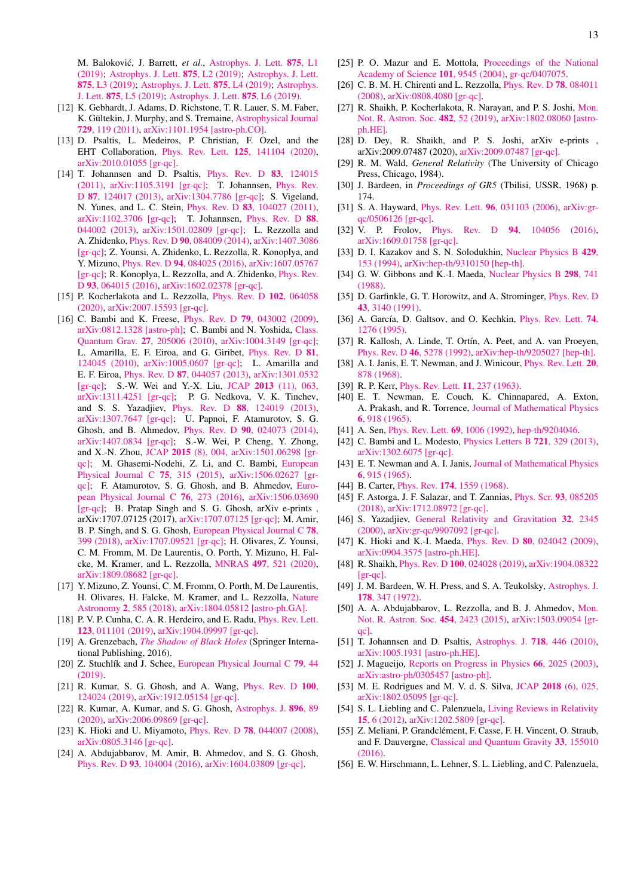<span id="page-12-30"></span>M. Baloković, J. Barrett, et al., [Astrophys. J. Lett.](https://doi.org/10.3847/2041-8213/ab0ec7) 875, L1 [\(2019\);](https://doi.org/10.3847/2041-8213/ab0ec7) [Astrophys. J. Lett.](https://doi.org/10.3847/2041-8213/ab0c96) 875, L2 (2019); [Astrophys. J. Lett.](https://doi.org/10.3847/2041-8213/ab0c57) 875[, L3 \(2019\);](https://doi.org/10.3847/2041-8213/ab0c57) [Astrophys. J. Lett.](https://doi.org/10.3847/2041-8213/ab0e85) 875, L4 (2019); [Astrophys.](https://doi.org/10.3847/2041-8213/ab0f43) J. Lett. 875[, L5 \(2019\);](https://doi.org/10.3847/2041-8213/ab0f43) [Astrophys. J. Lett.](https://doi.org/10.3847/2041-8213/ab1141) 875, L6 (2019).

- <span id="page-12-0"></span>[12] K. Gebhardt, J. Adams, D. Richstone, T. R. Lauer, S. M. Faber, K. Gültekin, J. Murphy, and S. Tremaine, [Astrophysical Journal](https://doi.org/10.1088/0004-637X/729/2/119) 729[, 119 \(2011\),](https://doi.org/10.1088/0004-637X/729/2/119) [arXiv:1101.1954 \[astro-ph.CO\].](https://arxiv.org/abs/1101.1954)
- <span id="page-12-1"></span>[13] D. Psaltis, L. Medeiros, P. Christian, F. Ozel, and the EHT Collaboration, Phys. Rev. Lett. 125[, 141104 \(2020\),](https://doi.org/10.1103/PhysRevLett.125.141104) [arXiv:2010.01055 \[gr-qc\].](https://arxiv.org/abs/2010.01055)
- <span id="page-12-2"></span>[14] T. Johannsen and D. Psaltis, [Phys. Rev. D](https://doi.org/10.1103/PhysRevD.83.124015) 83, 124015 [\(2011\),](https://doi.org/10.1103/PhysRevD.83.124015) [arXiv:1105.3191 \[gr-qc\];](https://arxiv.org/abs/1105.3191) T. Johannsen, [Phys. Rev.](https://doi.org/10.1103/PhysRevD.87.124017) D 87[, 124017 \(2013\),](https://doi.org/10.1103/PhysRevD.87.124017) [arXiv:1304.7786 \[gr-qc\];](https://arxiv.org/abs/1304.7786) S. Vigeland, N. Yunes, and L. C. Stein, Phys. Rev. D 83[, 104027 \(2011\),](https://doi.org/10.1103/PhysRevD.83.104027) [arXiv:1102.3706 \[gr-qc\];](https://arxiv.org/abs/1102.3706) T. Johannsen, [Phys. Rev. D](https://doi.org/10.1103/PhysRevD.88.044002) 88, [044002 \(2013\),](https://doi.org/10.1103/PhysRevD.88.044002) [arXiv:1501.02809 \[gr-qc\];](https://arxiv.org/abs/1501.02809) L. Rezzolla and A. Zhidenko, Phys. Rev. D 90[, 084009 \(2014\),](https://doi.org/10.1103/PhysRevD.90.084009) [arXiv:1407.3086](https://arxiv.org/abs/1407.3086) [\[gr-qc\];](https://arxiv.org/abs/1407.3086) Z. Younsi, A. Zhidenko, L. Rezzolla, R. Konoplya, and Y. Mizuno, Phys. Rev. D 94[, 084025 \(2016\),](https://doi.org/10.1103/PhysRevD.94.084025) [arXiv:1607.05767](https://arxiv.org/abs/1607.05767) [\[gr-qc\];](https://arxiv.org/abs/1607.05767) R. Konoplya, L. Rezzolla, and A. Zhidenko, *[Phys. Rev.](https://doi.org/10.1103/PhysRevD.93.064015)* D 93[, 064015 \(2016\),](https://doi.org/10.1103/PhysRevD.93.064015) [arXiv:1602.02378 \[gr-qc\].](https://arxiv.org/abs/1602.02378)
- <span id="page-12-3"></span>[15] P. Kocherlakota and L. Rezzolla, [Phys. Rev. D](https://doi.org/10.1103/PhysRevD.102.064058) 102, 064058 [\(2020\),](https://doi.org/10.1103/PhysRevD.102.064058) [arXiv:2007.15593 \[gr-qc\].](https://arxiv.org/abs/2007.15593)
- <span id="page-12-4"></span>[16] C. Bambi and K. Freese, *Phys. Rev. D* **79**[, 043002 \(2009\),](https://doi.org/10.1103/PhysRevD.79.043002) [arXiv:0812.1328 \[astro-ph\];](https://arxiv.org/abs/0812.1328) C. Bambi and N. Yoshida, [Class.](https://doi.org/10.1088/0264-9381/27/20/205006) Quantum Grav. 27[, 205006 \(2010\),](https://doi.org/10.1088/0264-9381/27/20/205006) [arXiv:1004.3149 \[gr-qc\];](https://arxiv.org/abs/1004.3149) L. Amarilla, E. F. Eiroa, and G. Giribet, [Phys. Rev. D](https://doi.org/10.1103/PhysRevD.81.124045) 81, [124045 \(2010\),](https://doi.org/10.1103/PhysRevD.81.124045) [arXiv:1005.0607 \[gr-qc\];](https://arxiv.org/abs/1005.0607) L. Amarilla and E. F. Eiroa, Phys. Rev. D 87[, 044057 \(2013\),](https://doi.org/10.1103/PhysRevD.87.044057) [arXiv:1301.0532](https://arxiv.org/abs/1301.0532) [\[gr-qc\];](https://arxiv.org/abs/1301.0532) S.-W. Wei and Y.-X. Liu, JCAP 2013 [\(11\), 063,](https://doi.org/10.1088/1475-7516/2013/11/063) [arXiv:1311.4251 \[gr-qc\];](https://arxiv.org/abs/1311.4251) P. G. Nedkova, V. K. Tinchev, and S. S. Yazadjiev, Phys. Rev. D 88[, 124019 \(2013\),](https://doi.org/10.1103/PhysRevD.88.124019) [arXiv:1307.7647 \[gr-qc\];](https://arxiv.org/abs/1307.7647) U. Papnoi, F. Atamurotov, S. G. Ghosh, and B. Ahmedov, Phys. Rev. D 90[, 024073 \(2014\),](https://doi.org/10.1103/PhysRevD.90.024073) [arXiv:1407.0834 \[gr-qc\];](https://arxiv.org/abs/1407.0834) S.-W. Wei, P. Cheng, Y. Zhong, and X.-N. Zhou, JCAP 2015 [\(8\), 004,](https://doi.org/10.1088/1475-7516/2015/08/004) [arXiv:1501.06298 \[gr](https://arxiv.org/abs/1501.06298)[qc\];](https://arxiv.org/abs/1501.06298) M. Ghasemi-Nodehi, Z. Li, and C. Bambi, [European](https://doi.org/10.1140/epjc/s10052-015-3539-x) [Physical Journal C](https://doi.org/10.1140/epjc/s10052-015-3539-x) 75, 315 (2015), [arXiv:1506.02627 \[gr](https://arxiv.org/abs/1506.02627)[qc\];](https://arxiv.org/abs/1506.02627) F. Atamurotov, S. G. Ghosh, and B. Ahmedov, [Euro](https://doi.org/10.1140/epjc/s10052-016-4122-9)[pean Physical Journal C](https://doi.org/10.1140/epjc/s10052-016-4122-9) 76, 273 (2016), [arXiv:1506.03690](https://arxiv.org/abs/1506.03690) [\[gr-qc\];](https://arxiv.org/abs/1506.03690) B. Pratap Singh and S. G. Ghosh, arXiv e-prints , arXiv:1707.07125 (2017), [arXiv:1707.07125 \[gr-qc\];](https://arxiv.org/abs/1707.07125) M. Amir, B. P. Singh, and S. G. Ghosh, [European Physical Journal C](https://doi.org/10.1140/epjc/s10052-018-5872-3) 78, [399 \(2018\),](https://doi.org/10.1140/epjc/s10052-018-5872-3) [arXiv:1707.09521 \[gr-qc\];](https://arxiv.org/abs/1707.09521) H. Olivares, Z. Younsi, C. M. Fromm, M. De Laurentis, O. Porth, Y. Mizuno, H. Falcke, M. Kramer, and L. Rezzolla, MNRAS 497[, 521 \(2020\),](https://doi.org/10.1093/mnras/staa1878) [arXiv:1809.08682 \[gr-qc\].](https://arxiv.org/abs/1809.08682)
- <span id="page-12-33"></span>[17] Y. Mizuno, Z. Younsi, C. M. Fromm, O. Porth, M. De Laurentis, H. Olivares, H. Falcke, M. Kramer, and L. Rezzolla, [Nature](https://doi.org/10.1038/s41550-018-0449-5) Astronomy 2[, 585 \(2018\),](https://doi.org/10.1038/s41550-018-0449-5) [arXiv:1804.05812 \[astro-ph.GA\].](https://arxiv.org/abs/1804.05812)
- <span id="page-12-5"></span>[18] P. V. P. Cunha, C. A. R. Herdeiro, and E. Radu, *[Phys. Rev. Lett.](https://doi.org/10.1103/PhysRevLett.123.011101)* 123[, 011101 \(2019\),](https://doi.org/10.1103/PhysRevLett.123.011101) [arXiv:1904.09997 \[gr-qc\].](https://arxiv.org/abs/1904.09997)
- <span id="page-12-6"></span>[19] A. Grenzebach, *[The Shadow of Black Holes](https://doi.org/10.1007/978-3-319-30066-5)* (Springer International Publishing, 2016).
- <span id="page-12-44"></span>[20] Z. Stuchlík and J. Schee, [European Physical Journal C](https://doi.org/10.1140/epjc/s10052-019-6543-8) 79, 44 [\(2019\).](https://doi.org/10.1140/epjc/s10052-019-6543-8)
- <span id="page-12-46"></span>[21] R. Kumar, S. G. Ghosh, and A. Wang, *[Phys. Rev. D](https://doi.org/10.1103/PhysRevD.100.124024)* 100, [124024 \(2019\),](https://doi.org/10.1103/PhysRevD.100.124024) [arXiv:1912.05154 \[gr-qc\].](https://arxiv.org/abs/1912.05154)
- <span id="page-12-21"></span>[22] R. Kumar, A. Kumar, and S. G. Ghosh, [Astrophys. J.](https://doi.org/10.3847/1538-4357/ab8c4a) 896, 89 [\(2020\),](https://doi.org/10.3847/1538-4357/ab8c4a) [arXiv:2006.09869 \[gr-qc\].](https://arxiv.org/abs/2006.09869)
- <span id="page-12-25"></span>[23] K. Hioki and U. Miyamoto, Phys. Rev. D 78[, 044007 \(2008\),](https://doi.org/10.1103/PhysRevD.78.044007) [arXiv:0805.3146 \[gr-qc\].](https://arxiv.org/abs/0805.3146)
- <span id="page-12-7"></span>[24] A. Abdujabbarov, M. Amir, B. Ahmedov, and S. G. Ghosh, Phys. Rev. D 93[, 104004 \(2016\),](https://doi.org/10.1103/PhysRevD.93.104004) [arXiv:1604.03809 \[gr-qc\].](https://arxiv.org/abs/1604.03809)
- <span id="page-12-8"></span>[25] P. O. Mazur and E. Mottola, [Proceedings of the National](https://doi.org/10.1073/pnas.0402717101) [Academy of Science](https://doi.org/10.1073/pnas.0402717101) 101, 9545 (2004), [gr-qc/0407075.](https://arxiv.org/abs/gr-qc/0407075)
- <span id="page-12-32"></span><span id="page-12-9"></span>[26] C. B. M. H. Chirenti and L. Rezzolla, [Phys. Rev. D](https://doi.org/10.1103/PhysRevD.78.084011) 78, 084011 [\(2008\),](https://doi.org/10.1103/PhysRevD.78.084011) [arXiv:0808.4080 \[gr-qc\].](https://arxiv.org/abs/0808.4080)
- <span id="page-12-10"></span>[27] R. Shaikh, P. Kocherlakota, R. Narayan, and P. S. Joshi, [Mon.](https://doi.org/10.1093/mnras/sty2624) [Not. R. Astron. Soc.](https://doi.org/10.1093/mnras/sty2624) 482, 52 (2019), [arXiv:1802.08060 \[astro](https://arxiv.org/abs/1802.08060)[ph.HE\].](https://arxiv.org/abs/1802.08060)
- <span id="page-12-11"></span>[28] D. Dey, R. Shaikh, and P. S. Joshi, arXiv e-prints , arXiv:2009.07487 (2020), [arXiv:2009.07487 \[gr-qc\].](https://arxiv.org/abs/2009.07487)
- <span id="page-12-12"></span>[29] R. M. Wald, *General Relativity* (The University of Chicago Press, Chicago, 1984).
- <span id="page-12-13"></span>[30] J. Bardeen, in *Proceedings of GR5* (Tbilisi, USSR, 1968) p. 174.
- <span id="page-12-36"></span>[31] S. A. Hayward, Phys. Rev. Lett. 96[, 031103 \(2006\),](https://doi.org/10.1103/PhysRevLett.96.031103) [arXiv:gr](https://arxiv.org/abs/gr-qc/0506126)[qc/0506126 \[gr-qc\].](https://arxiv.org/abs/gr-qc/0506126)
- <span id="page-12-14"></span>[32] V. P. Frolov, Phys. Rev. D 94[, 104056 \(2016\),](https://doi.org/10.1103/PhysRevD.94.104056) [arXiv:1609.01758 \[gr-qc\].](https://arxiv.org/abs/1609.01758)
- <span id="page-12-15"></span>[33] D. I. Kazakov and S. N. Solodukhin, [Nuclear Physics B](https://doi.org/10.1016/S0550-3213(94)80045-6) 429, [153 \(1994\),](https://doi.org/10.1016/S0550-3213(94)80045-6) [arXiv:hep-th/9310150 \[hep-th\].](https://arxiv.org/abs/hep-th/9310150)
- <span id="page-12-38"></span>[34] G. W. Gibbons and K.-I. Maeda, [Nuclear Physics B](https://doi.org/10.1016/0550-3213(88)90006-5) 298, 741 [\(1988\).](https://doi.org/10.1016/0550-3213(88)90006-5)
- <span id="page-12-39"></span>[35] D. Garfinkle, G. T. Horowitz, and A. Strominger, [Phys. Rev. D](https://doi.org/10.1103/PhysRevD.43.3140) 43[, 3140 \(1991\).](https://doi.org/10.1103/PhysRevD.43.3140)
- [36] A. García, D. Galtsov, and O. Kechkin, *[Phys. Rev. Lett.](https://doi.org/10.1103/PhysRevLett.74.1276)* 74, [1276 \(1995\).](https://doi.org/10.1103/PhysRevLett.74.1276)
- <span id="page-12-16"></span>[37] R. Kallosh, A. Linde, T. Ortín, A. Peet, and A. van Proeyen, Phys. Rev. D 46[, 5278 \(1992\),](https://doi.org/10.1103/PhysRevD.46.5278) [arXiv:hep-th/9205027 \[hep-th\].](https://arxiv.org/abs/hep-th/9205027)
- <span id="page-12-17"></span>[38] A. I. Janis, E. T. Newman, and J. Winicour, *[Phys. Rev. Lett.](https://doi.org/10.1103/PhysRevLett.20.878)* 20, [878 \(1968\).](https://doi.org/10.1103/PhysRevLett.20.878)
- <span id="page-12-18"></span>[39] R. P. Kerr, *[Phys. Rev. Lett.](https://doi.org/10.1103/PhysRevLett.11.237)* **11**, 237 (1963).
- <span id="page-12-35"></span>[40] E. T. Newman, E. Couch, K. Chinnapared, A. Exton, A. Prakash, and R. Torrence, [Journal of Mathematical Physics](https://doi.org/10.1063/1.1704351) 6[, 918 \(1965\).](https://doi.org/10.1063/1.1704351)
- <span id="page-12-37"></span>[41] A. Sen, *[Phys. Rev. Lett.](https://doi.org/10.1103/PhysRevLett.69.1006)* **69**, 1006 (1992), [hep-th/9204046.](https://arxiv.org/abs/hep-th/9204046)
- <span id="page-12-19"></span>[42] C. Bambi and L. Modesto, [Physics Letters B](https://doi.org/10.1016/j.physletb.2013.03.025) **721**, 329 (2013), [arXiv:1302.6075 \[gr-qc\].](https://arxiv.org/abs/1302.6075)
- <span id="page-12-20"></span>[43] E. T. Newman and A. I. Janis, [Journal of Mathematical Physics](https://doi.org/10.1063/1.1704350) 6[, 915 \(1965\).](https://doi.org/10.1063/1.1704350)
- <span id="page-12-22"></span>[44] B. Carter, *Phys. Rev.* **174**[, 1559 \(1968\).](https://doi.org/10.1103/PhysRev.174.1559)
- <span id="page-12-23"></span>[45] F. Astorga, J. F. Salazar, and T. Zannias, [Phys. Scr.](https://doi.org/10.1088/1402-4896/aacd44) 93, 085205 [\(2018\),](https://doi.org/10.1088/1402-4896/aacd44) [arXiv:1712.08972 \[gr-qc\].](https://arxiv.org/abs/1712.08972)
- <span id="page-12-24"></span>[46] S. Yazadjiev, [General Relativity and Gravitation](https://doi.org/10.1023/A:1002080003862) 32, 2345 [\(2000\),](https://doi.org/10.1023/A:1002080003862) [arXiv:gr-qc/9907092 \[gr-qc\].](https://arxiv.org/abs/gr-qc/9907092)
- <span id="page-12-42"></span><span id="page-12-26"></span>[47] K. Hioki and K.-I. Maeda, Phys. Rev. D 80[, 024042 \(2009\),](https://doi.org/10.1103/PhysRevD.80.024042) [arXiv:0904.3575 \[astro-ph.HE\].](https://arxiv.org/abs/0904.3575)
- <span id="page-12-27"></span>[48] R. Shaikh, Phys. Rev. D 100[, 024028 \(2019\),](https://doi.org/10.1103/PhysRevD.100.024028) [arXiv:1904.08322](https://arxiv.org/abs/1904.08322) [\[gr-qc\].](https://arxiv.org/abs/1904.08322)
- <span id="page-12-28"></span>[49] J. M. Bardeen, W. H. Press, and S. A. Teukolsky, [Astrophys. J.](https://doi.org/10.1086/151796) 178[, 347 \(1972\).](https://doi.org/10.1086/151796)
- <span id="page-12-29"></span>[50] A. A. Abdujabbarov, L. Rezzolla, and B. J. Ahmedov, [Mon.](https://doi.org/10.1093/mnras/stv2079) [Not. R. Astron. Soc.](https://doi.org/10.1093/mnras/stv2079) 454, 2423 (2015), [arXiv:1503.09054 \[gr](https://arxiv.org/abs/1503.09054)[qc\].](https://arxiv.org/abs/1503.09054)
- <span id="page-12-31"></span>[51] T. Johannsen and D. Psaltis, [Astrophys. J.](https://doi.org/10.1088/0004-637X/718/1/446) 718, 446 (2010), [arXiv:1005.1931 \[astro-ph.HE\].](https://arxiv.org/abs/1005.1931)
- <span id="page-12-34"></span>[52] J. Magueijo, [Reports on Progress in Physics](https://doi.org/10.1088/0034-4885/66/11/R04) 66, 2025 (2003), [arXiv:astro-ph/0305457 \[astro-ph\].](https://arxiv.org/abs/astro-ph/0305457)
- <span id="page-12-40"></span>[53] M. E. Rodrigues and M. V. d. S. Silva, JCAP 2018 [\(6\), 025,](https://doi.org/10.1088/1475-7516/2018/06/025) [arXiv:1802.05095 \[gr-qc\].](https://arxiv.org/abs/1802.05095)
- <span id="page-12-41"></span>[54] S. L. Liebling and C. Palenzuela, [Living Reviews in Relativity](https://doi.org/10.12942/lrr-2012-6) 15[, 6 \(2012\),](https://doi.org/10.12942/lrr-2012-6) [arXiv:1202.5809 \[gr-qc\].](https://arxiv.org/abs/1202.5809)
- <span id="page-12-43"></span>[55] Z. Meliani, P. Grandclément, F. Casse, F. H. Vincent, O. Straub, and F. Dauvergne, [Classical and Quantum Gravity](https://doi.org/10.1088/0264-9381/33/15/155010) 33, 155010  $(2016)$ .
- <span id="page-12-45"></span>[56] E. W. Hirschmann, L. Lehner, S. L. Liebling, and C. Palenzuela,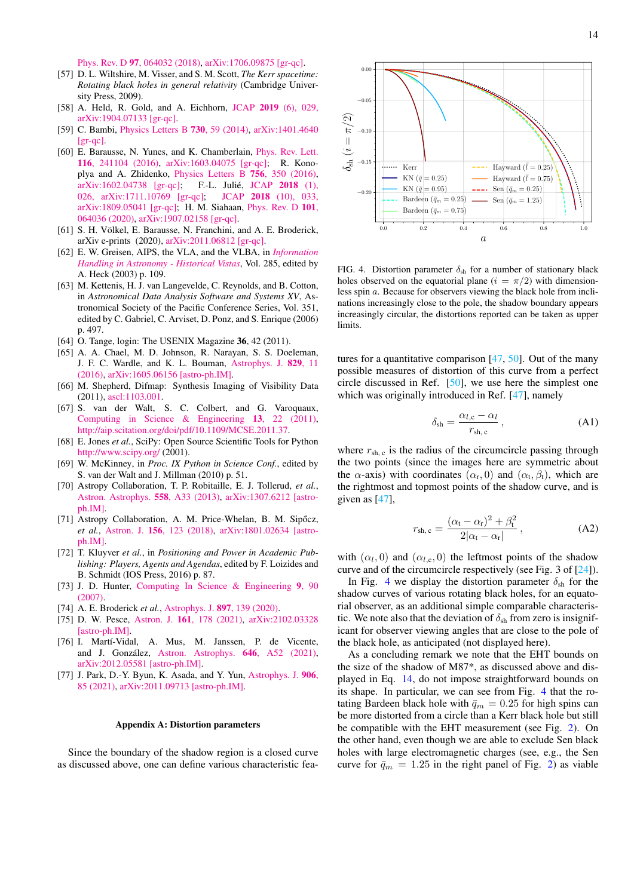Phys. Rev. D 97[, 064032 \(2018\),](https://doi.org/10.1103/PhysRevD.97.064032) [arXiv:1706.09875 \[gr-qc\].](https://arxiv.org/abs/1706.09875)

- <span id="page-13-0"></span>[57] D. L. Wiltshire, M. Visser, and S. M. Scott, *The Kerr spacetime: Rotating black holes in general relativity* (Cambridge University Press, 2009).
- <span id="page-13-1"></span>[58] A. Held, R. Gold, and A. Eichhorn, JCAP 2019 [\(6\), 029,](https://doi.org/10.1088/1475-7516/2019/06/029) [arXiv:1904.07133 \[gr-qc\].](https://arxiv.org/abs/1904.07133)
- <span id="page-13-3"></span>[59] C. Bambi, [Physics Letters B](https://doi.org/10.1016/j.physletb.2014.01.037) 730, 59 (2014), [arXiv:1401.4640](https://arxiv.org/abs/1401.4640)  $[*or*-*ac*]$ .
- <span id="page-13-4"></span>[60] E. Barausse, N. Yunes, and K. Chamberlain, [Phys. Rev. Lett.](https://doi.org/10.1103/PhysRevLett.116.241104) 116[, 241104 \(2016\),](https://doi.org/10.1103/PhysRevLett.116.241104) [arXiv:1603.04075 \[gr-qc\];](https://arxiv.org/abs/1603.04075) R. Konoplya and A. Zhidenko, [Physics Letters B](https://doi.org/10.1016/j.physletb.2016.03.044) 756, 350 (2016), [arXiv:1602.04738 \[gr-qc\];](https://arxiv.org/abs/1602.04738) F.-L. Julié, [JCAP](https://doi.org/10.1088/1475-7516/2018/01/026) 2018 (1), [026,](https://doi.org/10.1088/1475-7516/2018/01/026) [arXiv:1711.10769 \[gr-qc\];](https://arxiv.org/abs/1711.10769) JCAP 2018 [\(10\), 033,](https://doi.org/10.1088/1475-7516/2018/10/033) [arXiv:1809.05041 \[gr-qc\];](https://arxiv.org/abs/1809.05041) H. M. Siahaan, [Phys. Rev. D](https://doi.org/10.1103/PhysRevD.101.064036) 101, [064036 \(2020\),](https://doi.org/10.1103/PhysRevD.101.064036) [arXiv:1907.02158 \[gr-qc\].](https://arxiv.org/abs/1907.02158)
- <span id="page-13-5"></span>[61] S. H. Völkel, E. Barausse, N. Franchini, and A. E. Broderick, arXiv e-prints (2020), [arXiv:2011.06812 \[gr-qc\].](https://arxiv.org/abs/2011.06812)
- <span id="page-13-6"></span>[62] E. W. Greisen, AIPS, the VLA, and the VLBA, in *[Information](https://doi.org/10.1007/0-306-48080-8_7) [Handling in Astronomy - Historical Vistas](https://doi.org/10.1007/0-306-48080-8_7)*, Vol. 285, edited by A. Heck (2003) p. 109.
- <span id="page-13-7"></span>[63] M. Kettenis, H. J. van Langevelde, C. Reynolds, and B. Cotton, in *Astronomical Data Analysis Software and Systems XV*, Astronomical Society of the Pacific Conference Series, Vol. 351, edited by C. Gabriel, C. Arviset, D. Ponz, and S. Enrique (2006) p. 497.
- <span id="page-13-8"></span>[64] O. Tange, login: The USENIX Magazine 36, 42 (2011).
- <span id="page-13-9"></span>[65] A. A. Chael, M. D. Johnson, R. Narayan, S. S. Doeleman, J. F. C. Wardle, and K. L. Bouman, [Astrophys. J.](https://doi.org/10.3847/0004-637X/829/1/11) 829, 11 [\(2016\),](https://doi.org/10.3847/0004-637X/829/1/11) [arXiv:1605.06156 \[astro-ph.IM\].](https://arxiv.org/abs/1605.06156)
- <span id="page-13-10"></span>[66] M. Shepherd, Difmap: Synthesis Imaging of Visibility Data (2011), [ascl:1103.001.](https://arxiv.org/abs/1103.001)
- <span id="page-13-11"></span>[67] S. van der Walt, S. C. Colbert, and G. Varoquaux, [Computing in Science & Engineering](https://doi.org/10.1109/MCSE.2011.37) 13, 22 (2011), [http://aip.scitation.org/doi/pdf/10.1109/MCSE.2011.37.](https://arxiv.org/abs/http://aip.scitation.org/doi/pdf/10.1109/MCSE.2011.37)
- <span id="page-13-12"></span>[68] E. Jones *et al.*, SciPy: Open Source Scientific Tools for Python [http://www.scipy.org/](https://doi.org/http://www.scipy.org/) (2001).
- <span id="page-13-13"></span>[69] W. McKinney, in *Proc. IX Python in Science Conf.*, edited by S. van der Walt and J. Millman (2010) p. 51.
- <span id="page-13-14"></span>[70] Astropy Collaboration, T. P. Robitaille, E. J. Tollerud, *et al.*, [Astron. Astrophys.](https://doi.org/10.1051/0004-6361/201322068) 558, A33 (2013), [arXiv:1307.6212 \[astro](https://arxiv.org/abs/1307.6212)[ph.IM\].](https://arxiv.org/abs/1307.6212)
- <span id="page-13-15"></span>[71] Astropy Collaboration, A. M. Price-Whelan, B. M. Sipőcz, *et al.*, Astron. J. 156[, 123 \(2018\),](https://doi.org/10.3847/1538-3881/aabc4f) [arXiv:1801.02634 \[astro](https://arxiv.org/abs/1801.02634)[ph.IM\].](https://arxiv.org/abs/1801.02634)
- <span id="page-13-16"></span>[72] T. Kluyver *et al.*, in *Positioning and Power in Academic Publishing: Players, Agents and Agendas*, edited by F. Loizides and B. Schmidt (IOS Press, 2016) p. 87.
- <span id="page-13-17"></span>[73] J. D. Hunter, [Computing In Science & Engineering](https://doi.org/10.1109/MCSE.2007.55) 9, 90  $(2007)$
- <span id="page-13-18"></span>[74] A. E. Broderick *et al.*, [Astrophys. J.](https://doi.org/10.3847/1538-4357/ab91a4) 897, 139 (2020).
- <span id="page-13-19"></span>[75] D. W. Pesce, Astron. J. 161[, 178 \(2021\),](https://doi.org/10.3847/1538-3881/abe3f8) [arXiv:2102.03328](https://arxiv.org/abs/2102.03328) [\[astro-ph.IM\].](https://arxiv.org/abs/2102.03328)
- <span id="page-13-20"></span>[76] I. Martí-Vidal, A. Mus, M. Janssen, P. de Vicente, and J. González, [Astron. Astrophys.](https://doi.org/10.1051/0004-6361/202039527) 646, A52 (2021), [arXiv:2012.05581 \[astro-ph.IM\].](https://arxiv.org/abs/2012.05581)
- <span id="page-13-21"></span>[77] J. Park, D.-Y. Byun, K. Asada, and Y. Yun, [Astrophys. J.](https://doi.org/10.3847/1538-4357/abcc6e) 906, [85 \(2021\),](https://doi.org/10.3847/1538-4357/abcc6e) [arXiv:2011.09713 \[astro-ph.IM\].](https://arxiv.org/abs/2011.09713)

#### <span id="page-13-2"></span>Appendix A: Distortion parameters

Since the boundary of the shadow region is a closed curve as discussed above, one can define various characteristic fea-



<span id="page-13-22"></span>FIG. 4. Distortion parameter  $\delta_{sh}$  for a number of stationary black holes observed on the equatorial plane ( $i = \pi/2$ ) with dimensionless spin a. Because for observers viewing the black hole from inclinations increasingly close to the pole, the shadow boundary appears increasingly circular, the distortions reported can be taken as upper limits.

tures for a quantitative comparison  $[47, 50]$  $[47, 50]$  $[47, 50]$ . Out of the many possible measures of distortion of this curve from a perfect circle discussed in Ref. [\[50\]](#page-12-29), we use here the simplest one which was originally introduced in Ref. [\[47\]](#page-12-26), namely

$$
\delta_{\rm sh} = \frac{\alpha_{l,c} - \alpha_l}{r_{\rm sh,c}}, \tag{A1}
$$

where  $r_{\rm sh, c}$  is the radius of the circumcircle passing through the two points (since the images here are symmetric about the  $\alpha$ -axis) with coordinates  $(\alpha_r, 0)$  and  $(\alpha_t, \beta_t)$ , which are the rightmost and topmost points of the shadow curve, and is given as [\[47\]](#page-12-26),

$$
r_{\rm sh, c} = \frac{(\alpha_{\rm t} - \alpha_{\rm r})^2 + \beta_{\rm t}^2}{2|\alpha_{\rm t} - \alpha_{\rm r}|}, \qquad (A2)
$$

with  $(\alpha_l, 0)$  and  $(\alpha_{l,c}, 0)$  the leftmost points of the shadow curve and of the circumcircle respectively (see Fig. 3 of [\[24\]](#page-12-7)).

In Fig. [4](#page-13-22) we display the distortion parameter  $\delta_{sh}$  for the shadow curves of various rotating black holes, for an equatorial observer, as an additional simple comparable characteristic. We note also that the deviation of  $\delta_{sh}$  from zero is insignificant for observer viewing angles that are close to the pole of the black hole, as anticipated (not displayed here).

As a concluding remark we note that the EHT bounds on the size of the shadow of M87\*, as discussed above and displayed in Eq. [14,](#page-6-0) do not impose straightforward bounds on its shape. In particular, we can see from Fig. [4](#page-13-22) that the rotating Bardeen black hole with  $\bar{q}_m = 0.25$  for high spins can be more distorted from a circle than a Kerr black hole but still be compatible with the EHT measurement (see Fig. [2\)](#page-8-0). On the other hand, even though we are able to exclude Sen black holes with large electromagnetic charges (see, e.g., the Sen curve for  $\bar{q}_m = 1.25$  in the right panel of Fig. [2\)](#page-8-0) as viable